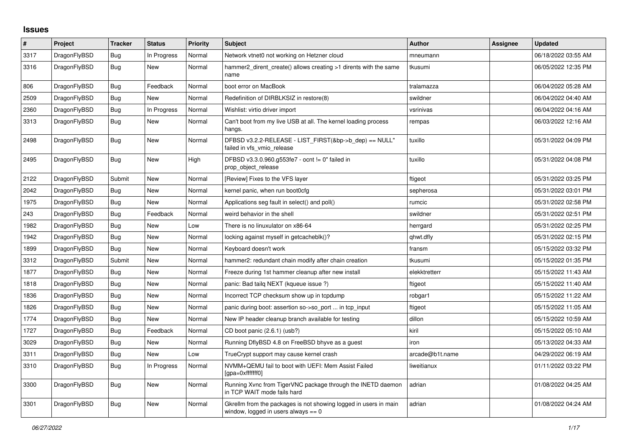## **Issues**

| #    | Project      | <b>Tracker</b> | <b>Status</b> | <b>Priority</b> | <b>Subject</b>                                                                                            | <b>Author</b>   | Assignee | <b>Updated</b>      |
|------|--------------|----------------|---------------|-----------------|-----------------------------------------------------------------------------------------------------------|-----------------|----------|---------------------|
| 3317 | DragonFlyBSD | Bug            | In Progress   | Normal          | Network vtnet0 not working on Hetzner cloud                                                               | mneumann        |          | 06/18/2022 03:55 AM |
| 3316 | DragonFlyBSD | Bug            | New           | Normal          | hammer2 dirent create() allows creating >1 dirents with the same<br>name                                  | tkusumi         |          | 06/05/2022 12:35 PM |
| 806  | DragonFlyBSD | <b>Bug</b>     | Feedback      | Normal          | boot error on MacBook                                                                                     | tralamazza      |          | 06/04/2022 05:28 AM |
| 2509 | DragonFlyBSD | <b>Bug</b>     | <b>New</b>    | Normal          | Redefinition of DIRBLKSIZ in restore(8)                                                                   | swildner        |          | 06/04/2022 04:40 AM |
| 2360 | DragonFlyBSD | Bug            | In Progress   | Normal          | Wishlist: virtio driver import                                                                            | vsrinivas       |          | 06/04/2022 04:16 AM |
| 3313 | DragonFlyBSD | Bug            | New           | Normal          | Can't boot from my live USB at all. The kernel loading process<br>hangs.                                  | rempas          |          | 06/03/2022 12:16 AM |
| 2498 | DragonFlyBSD | <b>Bug</b>     | New           | Normal          | DFBSD v3.2.2-RELEASE - LIST FIRST(&bp->b dep) == NULL"<br>failed in vfs vmio release                      | tuxillo         |          | 05/31/2022 04:09 PM |
| 2495 | DragonFlyBSD | <b>Bug</b>     | New           | High            | DFBSD v3.3.0.960.g553fe7 - ocnt != 0" failed in<br>prop_object_release                                    | tuxillo         |          | 05/31/2022 04:08 PM |
| 2122 | DragonFlyBSD | Submit         | New           | Normal          | [Review] Fixes to the VFS layer                                                                           | ftigeot         |          | 05/31/2022 03:25 PM |
| 2042 | DragonFlyBSD | Bug            | New           | Normal          | kernel panic, when run boot0cfg                                                                           | sepherosa       |          | 05/31/2022 03:01 PM |
| 1975 | DragonFlyBSD | <b>Bug</b>     | New           | Normal          | Applications seg fault in select() and poll()                                                             | rumcic          |          | 05/31/2022 02:58 PM |
| 243  | DragonFlyBSD | <b>Bug</b>     | Feedback      | Normal          | weird behavior in the shell                                                                               | swildner        |          | 05/31/2022 02:51 PM |
| 1982 | DragonFlyBSD | <b>Bug</b>     | New           | Low             | There is no linuxulator on x86-64                                                                         | herrgard        |          | 05/31/2022 02:25 PM |
| 1942 | DragonFlyBSD | Bug            | New           | Normal          | locking against myself in getcacheblk()?                                                                  | qhwt.dfly       |          | 05/31/2022 02:15 PM |
| 1899 | DragonFlyBSD | Bug            | New           | Normal          | Keyboard doesn't work                                                                                     | fransm          |          | 05/15/2022 03:32 PM |
| 3312 | DragonFlyBSD | Submit         | New           | Normal          | hammer2: redundant chain modify after chain creation                                                      | tkusumi         |          | 05/15/2022 01:35 PM |
| 1877 | DragonFlyBSD | Bug            | New           | Normal          | Freeze during 1st hammer cleanup after new install                                                        | elekktretterr   |          | 05/15/2022 11:43 AM |
| 1818 | DragonFlyBSD | Bug            | New           | Normal          | panic: Bad tailg NEXT (kqueue issue ?)                                                                    | ftigeot         |          | 05/15/2022 11:40 AM |
| 1836 | DragonFlyBSD | Bug            | New           | Normal          | Incorrect TCP checksum show up in tcpdump                                                                 | robgar1         |          | 05/15/2022 11:22 AM |
| 1826 | DragonFlyBSD | Bug            | New           | Normal          | panic during boot: assertion so->so_port  in tcp_input                                                    | ftigeot         |          | 05/15/2022 11:05 AM |
| 1774 | DragonFlyBSD | <b>Bug</b>     | <b>New</b>    | Normal          | New IP header cleanup branch available for testing                                                        | dillon          |          | 05/15/2022 10:59 AM |
| 1727 | DragonFlyBSD | Bug            | Feedback      | Normal          | CD boot panic (2.6.1) (usb?)                                                                              | kiril           |          | 05/15/2022 05:10 AM |
| 3029 | DragonFlyBSD | Bug            | New           | Normal          | Running DflyBSD 4.8 on FreeBSD bhyve as a guest                                                           | iron            |          | 05/13/2022 04:33 AM |
| 3311 | DragonFlyBSD | <b>Bug</b>     | New           | Low             | TrueCrypt support may cause kernel crash                                                                  | arcade@b1t.name |          | 04/29/2022 06:19 AM |
| 3310 | DragonFlyBSD | Bug            | In Progress   | Normal          | NVMM+QEMU fail to boot with UEFI: Mem Assist Failed<br>[gpa=0xfffffff0]                                   | liweitianux     |          | 01/11/2022 03:22 PM |
| 3300 | DragonFlyBSD | <b>Bug</b>     | New           | Normal          | Running Xvnc from TigerVNC package through the INETD daemon<br>in TCP WAIT mode fails hard                | adrian          |          | 01/08/2022 04:25 AM |
| 3301 | DragonFlyBSD | <b>Bug</b>     | New           | Normal          | Gkrellm from the packages is not showing logged in users in main<br>window, logged in users always $== 0$ | adrian          |          | 01/08/2022 04:24 AM |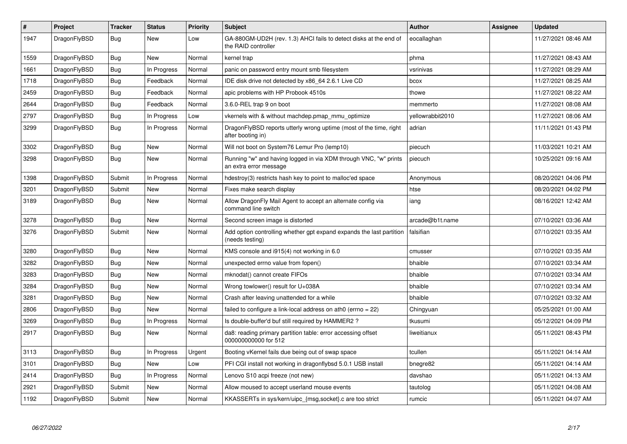| $\vert$ # | Project      | <b>Tracker</b> | <b>Status</b> | <b>Priority</b> | <b>Subject</b>                                                                             | <b>Author</b>    | Assignee | Updated             |
|-----------|--------------|----------------|---------------|-----------------|--------------------------------------------------------------------------------------------|------------------|----------|---------------------|
| 1947      | DragonFlyBSD | <b>Bug</b>     | New           | Low             | GA-880GM-UD2H (rev. 1.3) AHCI fails to detect disks at the end of<br>the RAID controller   | eocallaghan      |          | 11/27/2021 08:46 AM |
| 1559      | DragonFlyBSD | Bug            | New           | Normal          | kernel trap                                                                                | phma             |          | 11/27/2021 08:43 AM |
| 1661      | DragonFlyBSD | <b>Bug</b>     | In Progress   | Normal          | panic on password entry mount smb filesystem                                               | vsrinivas        |          | 11/27/2021 08:29 AM |
| 1718      | DragonFlyBSD | Bug            | Feedback      | Normal          | IDE disk drive not detected by x86 64 2.6.1 Live CD                                        | bcox             |          | 11/27/2021 08:25 AM |
| 2459      | DragonFlyBSD | <b>Bug</b>     | Feedback      | Normal          | apic problems with HP Probook 4510s                                                        | thowe            |          | 11/27/2021 08:22 AM |
| 2644      | DragonFlyBSD | Bug            | Feedback      | Normal          | 3.6.0-REL trap 9 on boot                                                                   | memmerto         |          | 11/27/2021 08:08 AM |
| 2797      | DragonFlyBSD | <b>Bug</b>     | In Progress   | Low             | vkernels with & without machdep.pmap mmu optimize                                          | yellowrabbit2010 |          | 11/27/2021 08:06 AM |
| 3299      | DragonFlyBSD | <b>Bug</b>     | In Progress   | Normal          | DragonFlyBSD reports utterly wrong uptime (most of the time, right<br>after booting in)    | adrian           |          | 11/11/2021 01:43 PM |
| 3302      | DragonFlyBSD | Bug            | New           | Normal          | Will not boot on System76 Lemur Pro (lemp10)                                               | piecuch          |          | 11/03/2021 10:21 AM |
| 3298      | DragonFlyBSD | <b>Bug</b>     | <b>New</b>    | Normal          | Running "w" and having logged in via XDM through VNC, "w" prints<br>an extra error message | piecuch          |          | 10/25/2021 09:16 AM |
| 1398      | DragonFlyBSD | Submit         | In Progress   | Normal          | hdestroy(3) restricts hash key to point to malloc'ed space                                 | Anonymous        |          | 08/20/2021 04:06 PM |
| 3201      | DragonFlyBSD | Submit         | <b>New</b>    | Normal          | Fixes make search display                                                                  | htse             |          | 08/20/2021 04:02 PM |
| 3189      | DragonFlyBSD | Bug            | New           | Normal          | Allow DragonFly Mail Agent to accept an alternate config via<br>command line switch        | iang             |          | 08/16/2021 12:42 AM |
| 3278      | DragonFlyBSD | Bug            | <b>New</b>    | Normal          | Second screen image is distorted                                                           | arcade@b1t.name  |          | 07/10/2021 03:36 AM |
| 3276      | DragonFlyBSD | Submit         | New           | Normal          | Add option controlling whether gpt expand expands the last partition<br>(needs testing)    | falsifian        |          | 07/10/2021 03:35 AM |
| 3280      | DragonFlyBSD | <b>Bug</b>     | <b>New</b>    | Normal          | KMS console and i915(4) not working in 6.0                                                 | cmusser          |          | 07/10/2021 03:35 AM |
| 3282      | DragonFlyBSD | Bug            | <b>New</b>    | Normal          | unexpected errno value from fopen()                                                        | bhaible          |          | 07/10/2021 03:34 AM |
| 3283      | DragonFlyBSD | <b>Bug</b>     | <b>New</b>    | Normal          | mknodat() cannot create FIFOs                                                              | bhaible          |          | 07/10/2021 03:34 AM |
| 3284      | DragonFlyBSD | <b>Bug</b>     | <b>New</b>    | Normal          | Wrong towlower() result for U+038A                                                         | bhaible          |          | 07/10/2021 03:34 AM |
| 3281      | DragonFlyBSD | <b>Bug</b>     | <b>New</b>    | Normal          | Crash after leaving unattended for a while                                                 | bhaible          |          | 07/10/2021 03:32 AM |
| 2806      | DragonFlyBSD | Bug            | New           | Normal          | failed to configure a link-local address on ath0 (errno = 22)                              | Chingyuan        |          | 05/25/2021 01:00 AM |
| 3269      | DragonFlyBSD | Bug            | In Progress   | Normal          | Is double-buffer'd buf still required by HAMMER2?                                          | tkusumi          |          | 05/12/2021 04:09 PM |
| 2917      | DragonFlyBSD | <b>Bug</b>     | New           | Normal          | da8: reading primary partition table: error accessing offset<br>000000000000 for 512       | liweitianux      |          | 05/11/2021 08:43 PM |
| 3113      | DragonFlyBSD | <b>Bug</b>     | In Progress   | Urgent          | Booting vKernel fails due being out of swap space                                          | tcullen          |          | 05/11/2021 04:14 AM |
| 3101      | DragonFlyBSD | Bug            | New           | Low             | PFI CGI install not working in dragonflybsd 5.0.1 USB install                              | bnegre82         |          | 05/11/2021 04:14 AM |
| 2414      | DragonFlyBSD | <b>Bug</b>     | In Progress   | Normal          | Lenovo S10 acpi freeze (not new)                                                           | davshao          |          | 05/11/2021 04:13 AM |
| 2921      | DragonFlyBSD | Submit         | New           | Normal          | Allow moused to accept userland mouse events                                               | tautolog         |          | 05/11/2021 04:08 AM |
| 1192      | DragonFlyBSD | Submit         | <b>New</b>    | Normal          | KKASSERTs in sys/kern/uipc_{msg,socket}.c are too strict                                   | rumcic           |          | 05/11/2021 04:07 AM |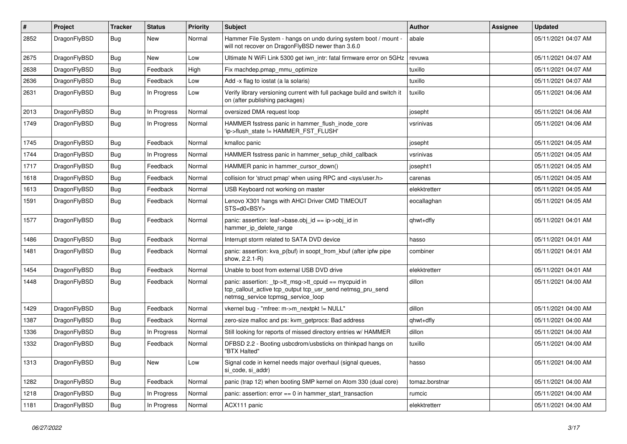| #    | Project      | <b>Tracker</b> | <b>Status</b> | <b>Priority</b> | Subject                                                                                                                                                   | <b>Author</b>  | Assignee | <b>Updated</b>      |
|------|--------------|----------------|---------------|-----------------|-----------------------------------------------------------------------------------------------------------------------------------------------------------|----------------|----------|---------------------|
| 2852 | DragonFlyBSD | Bug            | <b>New</b>    | Normal          | Hammer File System - hangs on undo during system boot / mount -<br>will not recover on DragonFlyBSD newer than 3.6.0                                      | abale          |          | 05/11/2021 04:07 AM |
| 2675 | DragonFlyBSD | Bug            | <b>New</b>    | Low             | Ultimate N WiFi Link 5300 get iwn_intr: fatal firmware error on 5GHz                                                                                      | revuwa         |          | 05/11/2021 04:07 AM |
| 2638 | DragonFlyBSD | <b>Bug</b>     | Feedback      | High            | Fix machdep.pmap_mmu_optimize                                                                                                                             | tuxillo        |          | 05/11/2021 04:07 AM |
| 2636 | DragonFlyBSD | <b>Bug</b>     | Feedback      | Low             | Add -x flag to iostat (a la solaris)                                                                                                                      | tuxillo        |          | 05/11/2021 04:07 AM |
| 2631 | DragonFlyBSD | <b>Bug</b>     | In Progress   | Low             | Verify library versioning current with full package build and switch it<br>on (after publishing packages)                                                 | tuxillo        |          | 05/11/2021 04:06 AM |
| 2013 | DragonFlyBSD | <b>Bug</b>     | In Progress   | Normal          | oversized DMA request loop                                                                                                                                | josepht        |          | 05/11/2021 04:06 AM |
| 1749 | DragonFlyBSD | <b>Bug</b>     | In Progress   | Normal          | HAMMER fsstress panic in hammer_flush_inode_core<br>'ip->flush_state != HAMMER_FST_FLUSH'                                                                 | vsrinivas      |          | 05/11/2021 04:06 AM |
| 1745 | DragonFlyBSD | <b>Bug</b>     | Feedback      | Normal          | kmalloc panic                                                                                                                                             | josepht        |          | 05/11/2021 04:05 AM |
| 1744 | DragonFlyBSD | <b>Bug</b>     | In Progress   | Normal          | HAMMER fsstress panic in hammer_setup_child_callback                                                                                                      | vsrinivas      |          | 05/11/2021 04:05 AM |
| 1717 | DragonFlyBSD | <b>Bug</b>     | Feedback      | Normal          | HAMMER panic in hammer_cursor_down()                                                                                                                      | josepht1       |          | 05/11/2021 04:05 AM |
| 1618 | DragonFlyBSD | <b>Bug</b>     | Feedback      | Normal          | collision for 'struct pmap' when using RPC and <sys user.h=""></sys>                                                                                      | carenas        |          | 05/11/2021 04:05 AM |
| 1613 | DragonFlyBSD | <b>Bug</b>     | Feedback      | Normal          | USB Keyboard not working on master                                                                                                                        | elekktretterr  |          | 05/11/2021 04:05 AM |
| 1591 | DragonFlyBSD | Bug            | Feedback      | Normal          | Lenovo X301 hangs with AHCI Driver CMD TIMEOUT<br>STS=d0 <bsy></bsy>                                                                                      | eocallaghan    |          | 05/11/2021 04:05 AM |
| 1577 | DragonFlyBSD | <b>Bug</b>     | Feedback      | Normal          | panic: assertion: leaf->base.obj_id == ip->obj_id in<br>hammer_ip_delete_range                                                                            | qhwt+dfly      |          | 05/11/2021 04:01 AM |
| 1486 | DragonFlyBSD | <b>Bug</b>     | Feedback      | Normal          | Interrupt storm related to SATA DVD device                                                                                                                | hasso          |          | 05/11/2021 04:01 AM |
| 1481 | DragonFlyBSD | Bug            | Feedback      | Normal          | panic: assertion: kva_p(buf) in soopt_from_kbuf (after ipfw pipe<br>show, 2.2.1-R)                                                                        | combiner       |          | 05/11/2021 04:01 AM |
| 1454 | DragonFlyBSD | Bug            | Feedback      | Normal          | Unable to boot from external USB DVD drive                                                                                                                | elekktretterr  |          | 05/11/2021 04:01 AM |
| 1448 | DragonFlyBSD | Bug            | Feedback      | Normal          | panic: assertion: _tp->tt_msg->tt_cpuid == mycpuid in<br>tcp_callout_active tcp_output tcp_usr_send netmsg_pru_send<br>netmsg_service tcpmsg_service_loop | dillon         |          | 05/11/2021 04:00 AM |
| 1429 | DragonFlyBSD | Bug            | Feedback      | Normal          | vkernel bug - "mfree: m->m_nextpkt != NULL"                                                                                                               | dillon         |          | 05/11/2021 04:00 AM |
| 1387 | DragonFlyBSD | <b>Bug</b>     | Feedback      | Normal          | zero-size malloc and ps: kvm_getprocs: Bad address                                                                                                        | qhwt+dfly      |          | 05/11/2021 04:00 AM |
| 1336 | DragonFlyBSD | Bug            | In Progress   | Normal          | Still looking for reports of missed directory entries w/ HAMMER                                                                                           | dillon         |          | 05/11/2021 04:00 AM |
| 1332 | DragonFlyBSD | Bug            | Feedback      | Normal          | DFBSD 2.2 - Booting usbcdrom/usbsticks on thinkpad hangs on<br>"BTX Halted"                                                                               | tuxillo        |          | 05/11/2021 04:00 AM |
| 1313 | DragonFlyBSD | <b>Bug</b>     | New           | Low             | Signal code in kernel needs major overhaul (signal queues,<br>si code, si addr)                                                                           | hasso          |          | 05/11/2021 04:00 AM |
| 1282 | DragonFlyBSD | <b>Bug</b>     | Feedback      | Normal          | panic (trap 12) when booting SMP kernel on Atom 330 (dual core)                                                                                           | tomaz.borstnar |          | 05/11/2021 04:00 AM |
| 1218 | DragonFlyBSD | <b>Bug</b>     | In Progress   | Normal          | panic: assertion: $error == 0$ in hammer start transaction                                                                                                | rumcic         |          | 05/11/2021 04:00 AM |
| 1181 | DragonFlyBSD | <b>Bug</b>     | In Progress   | Normal          | ACX111 panic                                                                                                                                              | elekktretterr  |          | 05/11/2021 04:00 AM |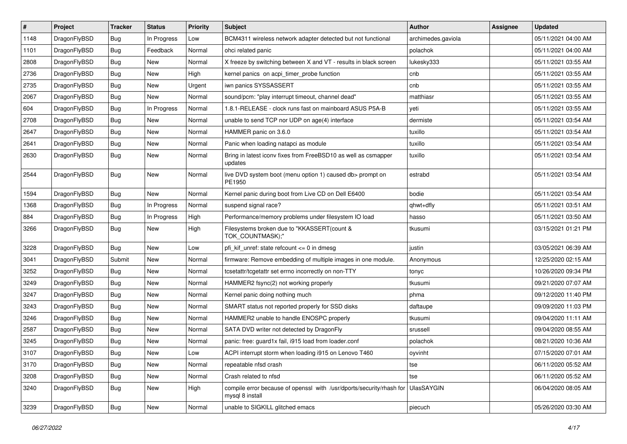| $\sharp$ | Project      | <b>Tracker</b> | <b>Status</b> | <b>Priority</b> | Subject                                                                                 | <b>Author</b>      | Assignee | <b>Updated</b>      |
|----------|--------------|----------------|---------------|-----------------|-----------------------------------------------------------------------------------------|--------------------|----------|---------------------|
| 1148     | DragonFlyBSD | <b>Bug</b>     | In Progress   | Low             | BCM4311 wireless network adapter detected but not functional                            | archimedes.gaviola |          | 05/11/2021 04:00 AM |
| 1101     | DragonFlyBSD | Bug            | Feedback      | Normal          | ohci related panic                                                                      | polachok           |          | 05/11/2021 04:00 AM |
| 2808     | DragonFlyBSD | <b>Bug</b>     | New           | Normal          | X freeze by switching between X and VT - results in black screen                        | lukesky333         |          | 05/11/2021 03:55 AM |
| 2736     | DragonFlyBSD | <b>Bug</b>     | New           | High            | kernel panics on acpi_timer_probe function                                              | cnb                |          | 05/11/2021 03:55 AM |
| 2735     | DragonFlyBSD | Bug            | <b>New</b>    | Urgent          | iwn panics SYSSASSERT                                                                   | cnb                |          | 05/11/2021 03:55 AM |
| 2067     | DragonFlyBSD | <b>Bug</b>     | <b>New</b>    | Normal          | sound/pcm: "play interrupt timeout, channel dead"                                       | matthiasr          |          | 05/11/2021 03:55 AM |
| 604      | DragonFlyBSD | <b>Bug</b>     | In Progress   | Normal          | 1.8.1-RELEASE - clock runs fast on mainboard ASUS P5A-B                                 | yeti               |          | 05/11/2021 03:55 AM |
| 2708     | DragonFlyBSD | <b>Bug</b>     | New           | Normal          | unable to send TCP nor UDP on age(4) interface                                          | dermiste           |          | 05/11/2021 03:54 AM |
| 2647     | DragonFlyBSD | <b>Bug</b>     | New           | Normal          | HAMMER panic on 3.6.0                                                                   | tuxillo            |          | 05/11/2021 03:54 AM |
| 2641     | DragonFlyBSD | Bug            | New           | Normal          | Panic when loading natapci as module                                                    | tuxillo            |          | 05/11/2021 03:54 AM |
| 2630     | DragonFlyBSD | <b>Bug</b>     | New           | Normal          | Bring in latest iconv fixes from FreeBSD10 as well as csmapper<br>updates               | tuxillo            |          | 05/11/2021 03:54 AM |
| 2544     | DragonFlyBSD | Bug            | <b>New</b>    | Normal          | live DVD system boot (menu option 1) caused db> prompt on<br>PE1950                     | estrabd            |          | 05/11/2021 03:54 AM |
| 1594     | DragonFlyBSD | Bug            | <b>New</b>    | Normal          | Kernel panic during boot from Live CD on Dell E6400                                     | bodie              |          | 05/11/2021 03:54 AM |
| 1368     | DragonFlyBSD | <b>Bug</b>     | In Progress   | Normal          | suspend signal race?                                                                    | qhwt+dfly          |          | 05/11/2021 03:51 AM |
| 884      | DragonFlyBSD | <b>Bug</b>     | In Progress   | High            | Performance/memory problems under filesystem IO load                                    | hasso              |          | 05/11/2021 03:50 AM |
| 3266     | DragonFlyBSD | Bug            | New           | High            | Filesystems broken due to "KKASSERT(count &<br>TOK_COUNTMASK);"                         | tkusumi            |          | 03/15/2021 01:21 PM |
| 3228     | DragonFlyBSD | Bug            | <b>New</b>    | Low             | pfi kif unref: state refcount $\leq$ 0 in dmesg                                         | justin             |          | 03/05/2021 06:39 AM |
| 3041     | DragonFlyBSD | Submit         | New           | Normal          | firmware: Remove embedding of multiple images in one module.                            | Anonymous          |          | 12/25/2020 02:15 AM |
| 3252     | DragonFlyBSD | <b>Bug</b>     | New           | Normal          | tcsetattr/tcgetattr set errno incorrectly on non-TTY                                    | tonyc              |          | 10/26/2020 09:34 PM |
| 3249     | DragonFlyBSD | Bug            | <b>New</b>    | Normal          | HAMMER2 fsync(2) not working properly                                                   | tkusumi            |          | 09/21/2020 07:07 AM |
| 3247     | DragonFlyBSD | <b>Bug</b>     | <b>New</b>    | Normal          | Kernel panic doing nothing much                                                         | phma               |          | 09/12/2020 11:40 PM |
| 3243     | DragonFlyBSD | <b>Bug</b>     | New           | Normal          | SMART status not reported properly for SSD disks                                        | daftaupe           |          | 09/09/2020 11:03 PM |
| 3246     | DragonFlyBSD | Bug            | <b>New</b>    | Normal          | HAMMER2 unable to handle ENOSPC properly                                                | tkusumi            |          | 09/04/2020 11:11 AM |
| 2587     | DragonFlyBSD | <b>Bug</b>     | <b>New</b>    | Normal          | SATA DVD writer not detected by DragonFly                                               | srussell           |          | 09/04/2020 08:55 AM |
| 3245     | DragonFlyBSD | <b>Bug</b>     | New           | Normal          | panic: free: guard1x fail, i915 load from loader.conf                                   | polachok           |          | 08/21/2020 10:36 AM |
| 3107     | DragonFlyBSD | Bug            | <b>New</b>    | Low             | ACPI interrupt storm when loading i915 on Lenovo T460                                   | oyvinht            |          | 07/15/2020 07:01 AM |
| 3170     | DragonFlyBSD | <b>Bug</b>     | <b>New</b>    | Normal          | repeatable nfsd crash                                                                   | tse                |          | 06/11/2020 05:52 AM |
| 3208     | DragonFlyBSD | Bug            | <b>New</b>    | Normal          | Crash related to nfsd                                                                   | tse                |          | 06/11/2020 05:52 AM |
| 3240     | DragonFlyBSD | <b>Bug</b>     | New           | High            | compile error because of openssl with /usr/dports/security/rhash for<br>mysql 8 install | UlasSAYGIN         |          | 06/04/2020 08:05 AM |
| 3239     | DragonFlyBSD | <b>Bug</b>     | New           | Normal          | unable to SIGKILL glitched emacs                                                        | piecuch            |          | 05/26/2020 03:30 AM |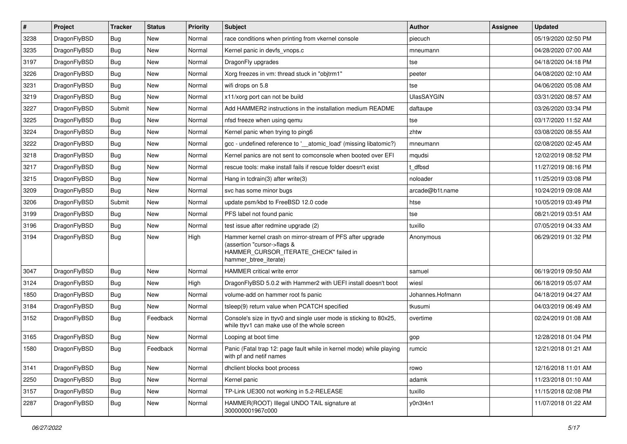| $\sharp$ | Project      | <b>Tracker</b> | <b>Status</b> | <b>Priority</b> | Subject                                                                                                                                                     | <b>Author</b>     | Assignee | <b>Updated</b>      |
|----------|--------------|----------------|---------------|-----------------|-------------------------------------------------------------------------------------------------------------------------------------------------------------|-------------------|----------|---------------------|
| 3238     | DragonFlyBSD | <b>Bug</b>     | <b>New</b>    | Normal          | race conditions when printing from vkernel console                                                                                                          | piecuch           |          | 05/19/2020 02:50 PM |
| 3235     | DragonFlyBSD | Bug            | New           | Normal          | Kernel panic in devfs vnops.c                                                                                                                               | mneumann          |          | 04/28/2020 07:00 AM |
| 3197     | DragonFlyBSD | <b>Bug</b>     | New           | Normal          | DragonFly upgrades                                                                                                                                          | tse               |          | 04/18/2020 04:18 PM |
| 3226     | DragonFlyBSD | <b>Bug</b>     | New           | Normal          | Xorg freezes in vm: thread stuck in "objtrm1"                                                                                                               | peeter            |          | 04/08/2020 02:10 AM |
| 3231     | DragonFlyBSD | Bug            | <b>New</b>    | Normal          | wifi drops on 5.8                                                                                                                                           | tse               |          | 04/06/2020 05:08 AM |
| 3219     | DragonFlyBSD | Bug            | <b>New</b>    | Normal          | x11/xorg port can not be build                                                                                                                              | <b>UlasSAYGIN</b> |          | 03/31/2020 08:57 AM |
| 3227     | DragonFlyBSD | Submit         | <b>New</b>    | Normal          | Add HAMMER2 instructions in the installation medium README                                                                                                  | daftaupe          |          | 03/26/2020 03:34 PM |
| 3225     | DragonFlyBSD | Bug            | New           | Normal          | nfsd freeze when using gemu                                                                                                                                 | tse               |          | 03/17/2020 11:52 AM |
| 3224     | DragonFlyBSD | <b>Bug</b>     | New           | Normal          | Kernel panic when trying to ping6                                                                                                                           | zhtw              |          | 03/08/2020 08:55 AM |
| 3222     | DragonFlyBSD | Bug            | <b>New</b>    | Normal          | gcc - undefined reference to '__atomic_load' (missing libatomic?)                                                                                           | mneumann          |          | 02/08/2020 02:45 AM |
| 3218     | DragonFlyBSD | <b>Bug</b>     | New           | Normal          | Kernel panics are not sent to comconsole when booted over EFI                                                                                               | mqudsi            |          | 12/02/2019 08:52 PM |
| 3217     | DragonFlyBSD | Bug            | <b>New</b>    | Normal          | rescue tools: make install fails if rescue folder doesn't exist                                                                                             | t dfbsd           |          | 11/27/2019 08:16 PM |
| 3215     | DragonFlyBSD | <b>Bug</b>     | New           | Normal          | Hang in tcdrain(3) after write(3)                                                                                                                           | noloader          |          | 11/25/2019 03:08 PM |
| 3209     | DragonFlyBSD | Bug            | New           | Normal          | svc has some minor bugs                                                                                                                                     | arcade@b1t.name   |          | 10/24/2019 09:08 AM |
| 3206     | DragonFlyBSD | Submit         | New           | Normal          | update psm/kbd to FreeBSD 12.0 code                                                                                                                         | htse              |          | 10/05/2019 03:49 PM |
| 3199     | DragonFlyBSD | Bug            | New           | Normal          | PFS label not found panic                                                                                                                                   | tse               |          | 08/21/2019 03:51 AM |
| 3196     | DragonFlyBSD | Bug            | New           | Normal          | test issue after redmine upgrade (2)                                                                                                                        | tuxillo           |          | 07/05/2019 04:33 AM |
| 3194     | DragonFlyBSD | Bug            | <b>New</b>    | High            | Hammer kernel crash on mirror-stream of PFS after upgrade<br>(assertion "cursor->flags &<br>HAMMER_CURSOR_ITERATE_CHECK" failed in<br>hammer_btree_iterate) | Anonymous         |          | 06/29/2019 01:32 PM |
| 3047     | DragonFlyBSD | Bug            | <b>New</b>    | Normal          | <b>HAMMER</b> critical write error                                                                                                                          | samuel            |          | 06/19/2019 09:50 AM |
| 3124     | DragonFlyBSD | Bug            | New           | High            | DragonFlyBSD 5.0.2 with Hammer2 with UEFI install doesn't boot                                                                                              | wiesl             |          | 06/18/2019 05:07 AM |
| 1850     | DragonFlyBSD | Bug            | New           | Normal          | volume-add on hammer root fs panic                                                                                                                          | Johannes.Hofmann  |          | 04/18/2019 04:27 AM |
| 3184     | DragonFlyBSD | Bug            | New           | Normal          | tsleep(9) return value when PCATCH specified                                                                                                                | tkusumi           |          | 04/03/2019 06:49 AM |
| 3152     | DragonFlyBSD | Bug            | Feedback      | Normal          | Console's size in ttyv0 and single user mode is sticking to 80x25,<br>while ttyv1 can make use of the whole screen                                          | overtime          |          | 02/24/2019 01:08 AM |
| 3165     | DragonFlyBSD | Bug            | New           | Normal          | Looping at boot time                                                                                                                                        | gop               |          | 12/28/2018 01:04 PM |
| 1580     | DragonFlyBSD | Bug            | Feedback      | Normal          | Panic (Fatal trap 12: page fault while in kernel mode) while playing<br>with pt and netif names                                                             | rumcic            |          | 12/21/2018 01:21 AM |
| 3141     | DragonFlyBSD | <b>Bug</b>     | New           | Normal          | dhclient blocks boot process                                                                                                                                | rowo              |          | 12/16/2018 11:01 AM |
| 2250     | DragonFlyBSD | <b>Bug</b>     | New           | Normal          | Kernel panic                                                                                                                                                | adamk             |          | 11/23/2018 01:10 AM |
| 3157     | DragonFlyBSD | <b>Bug</b>     | New           | Normal          | TP-Link UE300 not working in 5.2-RELEASE                                                                                                                    | tuxillo           |          | 11/15/2018 02:08 PM |
| 2287     | DragonFlyBSD | <b>Bug</b>     | New           | Normal          | HAMMER(ROOT) Illegal UNDO TAIL signature at<br>300000001967c000                                                                                             | y0n3t4n1          |          | 11/07/2018 01:22 AM |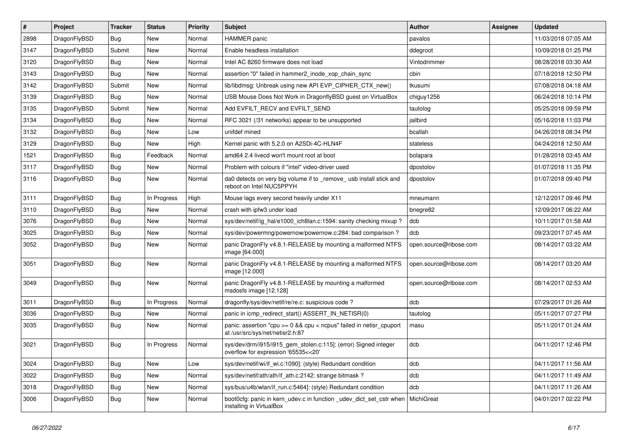| $\sharp$ | Project      | <b>Tracker</b> | <b>Status</b> | <b>Priority</b> | Subject                                                                                                   | <b>Author</b>          | Assignee | <b>Updated</b>      |
|----------|--------------|----------------|---------------|-----------------|-----------------------------------------------------------------------------------------------------------|------------------------|----------|---------------------|
| 2898     | DragonFlyBSD | <b>Bug</b>     | New           | Normal          | <b>HAMMER</b> panic                                                                                       | pavalos                |          | 11/03/2018 07:05 AM |
| 3147     | DragonFlyBSD | Submit         | <b>New</b>    | Normal          | Enable headless installation                                                                              | ddegroot               |          | 10/09/2018 01:25 PM |
| 3120     | DragonFlyBSD | Bug            | New           | Normal          | Intel AC 8260 firmware does not load                                                                      | Vintodrimmer           |          | 08/28/2018 03:30 AM |
| 3143     | DragonFlyBSD | Bug            | New           | Normal          | assertion "0" failed in hammer2 inode xop chain sync                                                      | cbin                   |          | 07/18/2018 12:50 PM |
| 3142     | DragonFlyBSD | Submit         | New           | Normal          | lib/libdmsg: Unbreak using new API EVP_CIPHER_CTX_new()                                                   | tkusumi                |          | 07/08/2018 04:18 AM |
| 3139     | DragonFlyBSD | Bug            | New           | Normal          | USB Mouse Does Not Work in DragonflyBSD guest on VirtualBox                                               | chiguy1256             |          | 06/24/2018 10:14 PM |
| 3135     | DragonFlyBSD | Submit         | <b>New</b>    | Normal          | Add EVFILT_RECV and EVFILT_SEND                                                                           | tautolog               |          | 05/25/2018 09:59 PM |
| 3134     | DragonFlyBSD | Bug            | New           | Normal          | RFC 3021 (/31 networks) appear to be unsupported                                                          | jailbird               |          | 05/16/2018 11:03 PM |
| 3132     | DragonFlyBSD | Bug            | New           | Low             | unifdef mined                                                                                             | bcallah                |          | 04/26/2018 08:34 PM |
| 3129     | DragonFlyBSD | Bug            | New           | High            | Kernel panic with 5.2.0 on A2SDi-4C-HLN4F                                                                 | stateless              |          | 04/24/2018 12:50 AM |
| 1521     | DragonFlyBSD | <b>Bug</b>     | Feedback      | Normal          | amd64 2.4 livecd won't mount root at boot                                                                 | bolapara               |          | 01/28/2018 03:45 AM |
| 3117     | DragonFlyBSD | <b>Bug</b>     | <b>New</b>    | Normal          | Problem with colours if "intel" video-driver used                                                         | dpostolov              |          | 01/07/2018 11:35 PM |
| 3116     | DragonFlyBSD | <b>Bug</b>     | <b>New</b>    | Normal          | da0 detects on very big volume if to _remove_ usb install stick and<br>reboot on Intel NUC5PPYH           | dpostolov              |          | 01/07/2018 09:40 PM |
| 3111     | DragonFlyBSD | Bug            | In Progress   | High            | Mouse lags every second heavily under X11                                                                 | mneumann               |          | 12/12/2017 09:46 PM |
| 3110     | DragonFlyBSD | <b>Bug</b>     | New           | Normal          | crash with ipfw3 under load                                                                               | bnegre82               |          | 12/09/2017 06:22 AM |
| 3076     | DragonFlyBSD | <b>Bug</b>     | <b>New</b>    | Normal          | sys/dev/netif/ig_hal/e1000_ich8lan.c:1594: sanity checking mixup?                                         | dcb                    |          | 10/11/2017 01:58 AM |
| 3025     | DragonFlyBSD | Bug            | New           | Normal          | sys/dev/powermng/powernow/powernow.c:284: bad comparison?                                                 | dcb                    |          | 09/23/2017 07:45 AM |
| 3052     | DragonFlyBSD | <b>Bug</b>     | <b>New</b>    | Normal          | panic DragonFly v4.8.1-RELEASE by mounting a malformed NTFS<br>image [64.000]                             | open.source@ribose.com |          | 08/14/2017 03:22 AM |
| 3051     | DragonFlyBSD | Bug            | <b>New</b>    | Normal          | panic DragonFly v4.8.1-RELEASE by mounting a malformed NTFS<br>image [12.000]                             | open.source@ribose.com |          | 08/14/2017 03:20 AM |
| 3049     | DragonFlyBSD | Bug            | New           | Normal          | panic DragonFly v4.8.1-RELEASE by mounting a malformed<br>msdosfs image [12.128]                          | open.source@ribose.com |          | 08/14/2017 02:53 AM |
| 3011     | DragonFlyBSD | Bug            | In Progress   | Normal          | dragonfly/sys/dev/netif/re/re.c: suspicious code?                                                         | dcb                    |          | 07/29/2017 01:26 AM |
| 3036     | DragonFlyBSD | Bug            | <b>New</b>    | Normal          | panic in icmp redirect start() ASSERT IN NETISR(0)                                                        | tautolog               |          | 05/11/2017 07:27 PM |
| 3035     | DragonFlyBSD | <b>Bug</b>     | New           | Normal          | panic: assertion "cpu $>= 0$ && cpu < ncpus" failed in netisr cpuport<br>at /usr/src/sys/net/netisr2.h:87 | masu                   |          | 05/11/2017 01:24 AM |
| 3021     | DragonFlyBSD | <b>Bug</b>     | In Progress   | Normal          | sys/dev/drm/i915/i915_gem_stolen.c:115]: (error) Signed integer<br>overflow for expression '65535<<20'    | dcb                    |          | 04/11/2017 12:46 PM |
| 3024     | DragonFlyBSD | <b>Bug</b>     | <b>New</b>    | Low             | sys/dev/netif/wi/if_wi.c:1090]: (style) Redundant condition                                               | dcb                    |          | 04/11/2017 11:56 AM |
| 3022     | DragonFlyBSD | Bug            | New           | Normal          | sys/dev/netif/ath/ath/if_ath.c:2142: strange bitmask?                                                     | dcb                    |          | 04/11/2017 11:49 AM |
| 3018     | DragonFlyBSD | <b>Bug</b>     | <b>New</b>    | Normal          | sys/bus/u4b/wlan/if_run.c:5464]: (style) Redundant condition                                              | dcb                    |          | 04/11/2017 11:26 AM |
| 3006     | DragonFlyBSD | <b>Bug</b>     | New           | Normal          | boot0cfg: panic in kern udev.c in function udev dict set cstr when<br>installing in VirtualBox            | MichiGreat             |          | 04/01/2017 02:22 PM |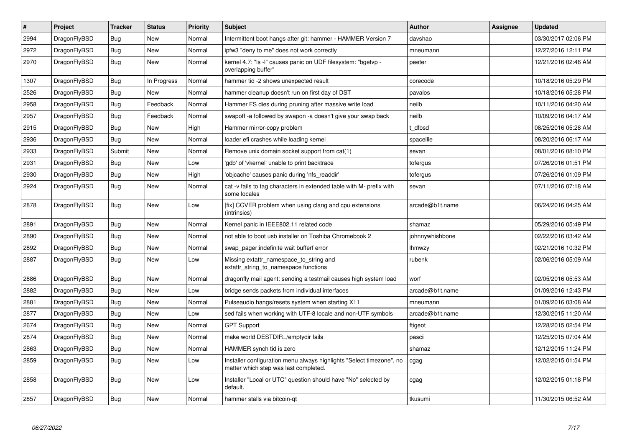| $\vert$ # | Project      | <b>Tracker</b> | <b>Status</b> | <b>Priority</b> | <b>Subject</b>                                                                                                | <b>Author</b>   | Assignee | <b>Updated</b>      |
|-----------|--------------|----------------|---------------|-----------------|---------------------------------------------------------------------------------------------------------------|-----------------|----------|---------------------|
| 2994      | DragonFlyBSD | <b>Bug</b>     | New           | Normal          | Intermittent boot hangs after git: hammer - HAMMER Version 7                                                  | davshao         |          | 03/30/2017 02:06 PM |
| 2972      | DragonFlyBSD | Bug            | New           | Normal          | ipfw3 "deny to me" does not work correctly                                                                    | mneumann        |          | 12/27/2016 12:11 PM |
| 2970      | DragonFlyBSD | Bug            | New           | Normal          | kernel 4.7: "Is -I" causes panic on UDF filesystem: "bgetvp -<br>overlapping buffer"                          | peeter          |          | 12/21/2016 02:46 AM |
| 1307      | DragonFlyBSD | Bug            | In Progress   | Normal          | hammer tid -2 shows unexpected result                                                                         | corecode        |          | 10/18/2016 05:29 PM |
| 2526      | DragonFlyBSD | <b>Bug</b>     | <b>New</b>    | Normal          | hammer cleanup doesn't run on first day of DST                                                                | pavalos         |          | 10/18/2016 05:28 PM |
| 2958      | DragonFlyBSD | Bug            | Feedback      | Normal          | Hammer FS dies during pruning after massive write load                                                        | neilb           |          | 10/11/2016 04:20 AM |
| 2957      | DragonFlyBSD | <b>Bug</b>     | Feedback      | Normal          | swapoff -a followed by swapon -a doesn't give your swap back                                                  | neilb           |          | 10/09/2016 04:17 AM |
| 2915      | DragonFlyBSD | <b>Bug</b>     | <b>New</b>    | High            | Hammer mirror-copy problem                                                                                    | t dfbsd         |          | 08/25/2016 05:28 AM |
| 2936      | DragonFlyBSD | <b>Bug</b>     | <b>New</b>    | Normal          | loader.efi crashes while loading kernel                                                                       | spaceille       |          | 08/20/2016 06:17 AM |
| 2933      | DragonFlyBSD | Submit         | New           | Normal          | Remove unix domain socket support from cat(1)                                                                 | sevan           |          | 08/01/2016 08:10 PM |
| 2931      | DragonFlyBSD | <b>Bug</b>     | <b>New</b>    | Low             | 'gdb' of 'vkernel' unable to print backtrace                                                                  | tofergus        |          | 07/26/2016 01:51 PM |
| 2930      | DragonFlyBSD | <b>Bug</b>     | <b>New</b>    | High            | 'objcache' causes panic during 'nfs_readdir'                                                                  | tofergus        |          | 07/26/2016 01:09 PM |
| 2924      | DragonFlyBSD | Bug            | <b>New</b>    | Normal          | cat -v fails to tag characters in extended table with M- prefix with<br>some locales                          | sevan           |          | 07/11/2016 07:18 AM |
| 2878      | DragonFlyBSD | Bug            | New           | Low             | [fix] CCVER problem when using clang and cpu extensions<br>(intrinsics)                                       | arcade@b1t.name |          | 06/24/2016 04:25 AM |
| 2891      | DragonFlyBSD | Bug            | <b>New</b>    | Normal          | Kernel panic in IEEE802.11 related code                                                                       | shamaz          |          | 05/29/2016 05:49 PM |
| 2890      | DragonFlyBSD | <b>Bug</b>     | New           | Normal          | not able to boot usb installer on Toshiba Chromebook 2                                                        | johnnywhishbone |          | 02/22/2016 03:42 AM |
| 2892      | DragonFlyBSD | Bug            | New           | Normal          | swap pager: indefinite wait bufferf error                                                                     | <b>Ihmwzy</b>   |          | 02/21/2016 10:32 PM |
| 2887      | DragonFlyBSD | <b>Bug</b>     | New           | Low             | Missing extattr_namespace_to_string and<br>extattr_string_to_namespace functions                              | rubenk          |          | 02/06/2016 05:09 AM |
| 2886      | DragonFlyBSD | <b>Bug</b>     | New           | Normal          | dragonfly mail agent: sending a testmail causes high system load                                              | worf            |          | 02/05/2016 05:53 AM |
| 2882      | DragonFlyBSD | Bug            | <b>New</b>    | Low             | bridge sends packets from individual interfaces                                                               | arcade@b1t.name |          | 01/09/2016 12:43 PM |
| 2881      | DragonFlyBSD | <b>Bug</b>     | <b>New</b>    | Normal          | Pulseaudio hangs/resets system when starting X11                                                              | mneumann        |          | 01/09/2016 03:08 AM |
| 2877      | DragonFlyBSD | Bug            | New           | Low             | sed fails when working with UTF-8 locale and non-UTF symbols                                                  | arcade@b1t.name |          | 12/30/2015 11:20 AM |
| 2674      | DragonFlyBSD | Bug            | New           | Normal          | <b>GPT Support</b>                                                                                            | ftigeot         |          | 12/28/2015 02:54 PM |
| 2874      | DragonFlyBSD | <b>Bug</b>     | <b>New</b>    | Normal          | make world DESTDIR=/emptydir fails                                                                            | pascii          |          | 12/25/2015 07:04 AM |
| 2863      | DragonFlyBSD | Bug            | <b>New</b>    | Normal          | HAMMER synch tid is zero                                                                                      | shamaz          |          | 12/12/2015 11:24 PM |
| 2859      | DragonFlyBSD | <b>Bug</b>     | <b>New</b>    | Low             | Installer configuration menu always highlights "Select timezone", no<br>matter which step was last completed. | cgag            |          | 12/02/2015 01:54 PM |
| 2858      | DragonFlyBSD | <b>Bug</b>     | <b>New</b>    | Low             | Installer "Local or UTC" question should have "No" selected by<br>default.                                    | cgag            |          | 12/02/2015 01:18 PM |
| 2857      | DragonFlyBSD | Bug            | New           | Normal          | hammer stalls via bitcoin-qt                                                                                  | tkusumi         |          | 11/30/2015 06:52 AM |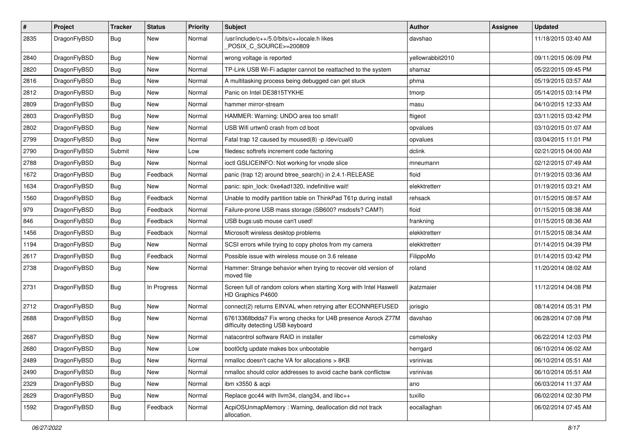| #    | Project      | <b>Tracker</b> | <b>Status</b> | <b>Priority</b> | Subject                                                                                          | <b>Author</b>    | Assignee | <b>Updated</b>      |
|------|--------------|----------------|---------------|-----------------|--------------------------------------------------------------------------------------------------|------------------|----------|---------------------|
| 2835 | DragonFlyBSD | Bug            | New           | Normal          | /usr/include/c++/5.0/bits/c++locale.h likes<br>POSIX_C_SOURCE>=200809                            | davshao          |          | 11/18/2015 03:40 AM |
| 2840 | DragonFlyBSD | <b>Bug</b>     | <b>New</b>    | Normal          | wrong voltage is reported                                                                        | yellowrabbit2010 |          | 09/11/2015 06:09 PM |
| 2820 | DragonFlyBSD | <b>Bug</b>     | <b>New</b>    | Normal          | TP-Link USB Wi-Fi adapter cannot be reattached to the system                                     | shamaz           |          | 05/22/2015 09:45 PM |
| 2816 | DragonFlyBSD | <b>Bug</b>     | <b>New</b>    | Normal          | A multitasking process being debugged can get stuck                                              | phma             |          | 05/19/2015 03:57 AM |
| 2812 | DragonFlyBSD | <b>Bug</b>     | <b>New</b>    | Normal          | Panic on Intel DE3815TYKHE                                                                       | tmorp            |          | 05/14/2015 03:14 PM |
| 2809 | DragonFlyBSD | <b>Bug</b>     | <b>New</b>    | Normal          | hammer mirror-stream                                                                             | masu             |          | 04/10/2015 12:33 AM |
| 2803 | DragonFlyBSD | <b>Bug</b>     | New           | Normal          | HAMMER: Warning: UNDO area too small!                                                            | ftigeot          |          | 03/11/2015 03:42 PM |
| 2802 | DragonFlyBSD | <b>Bug</b>     | <b>New</b>    | Normal          | USB Wifi urtwn0 crash from cd boot                                                               | opvalues         |          | 03/10/2015 01:07 AM |
| 2799 | DragonFlyBSD | <b>Bug</b>     | <b>New</b>    | Normal          | Fatal trap 12 caused by moused(8) -p /dev/cual0                                                  | opvalues         |          | 03/04/2015 11:01 PM |
| 2790 | DragonFlyBSD | Submit         | <b>New</b>    | Low             | filedesc softrefs increment code factoring                                                       | dclink           |          | 02/21/2015 04:00 AM |
| 2788 | DragonFlyBSD | <b>Bug</b>     | New           | Normal          | ioctl GSLICEINFO: Not working for vnode slice                                                    | mneumann         |          | 02/12/2015 07:49 AM |
| 1672 | DragonFlyBSD | <b>Bug</b>     | Feedback      | Normal          | panic (trap 12) around btree search() in 2.4.1-RELEASE                                           | floid            |          | 01/19/2015 03:36 AM |
| 1634 | DragonFlyBSD | <b>Bug</b>     | <b>New</b>    | Normal          | panic: spin_lock: 0xe4ad1320, indefinitive wait!                                                 | elekktretterr    |          | 01/19/2015 03:21 AM |
| 1560 | DragonFlyBSD | <b>Bug</b>     | Feedback      | Normal          | Unable to modify partition table on ThinkPad T61p during install                                 | rehsack          |          | 01/15/2015 08:57 AM |
| 979  | DragonFlyBSD | <b>Bug</b>     | Feedback      | Normal          | Failure-prone USB mass storage (SB600? msdosfs? CAM?)                                            | floid            |          | 01/15/2015 08:38 AM |
| 846  | DragonFlyBSD | <b>Bug</b>     | Feedback      | Normal          | USB bugs:usb mouse can't used!                                                                   | frankning        |          | 01/15/2015 08:36 AM |
| 1456 | DragonFlyBSD | <b>Bug</b>     | Feedback      | Normal          | Microsoft wireless desktop problems                                                              | elekktretterr    |          | 01/15/2015 08:34 AM |
| 1194 | DragonFlyBSD | <b>Bug</b>     | New           | Normal          | SCSI errors while trying to copy photos from my camera                                           | elekktretterr    |          | 01/14/2015 04:39 PM |
| 2617 | DragonFlyBSD | <b>Bug</b>     | Feedback      | Normal          | Possible issue with wireless mouse on 3.6 release                                                | FilippoMo        |          | 01/14/2015 03:42 PM |
| 2738 | DragonFlyBSD | <b>Bug</b>     | New           | Normal          | Hammer: Strange behavior when trying to recover old version of<br>moved file                     | roland           |          | 11/20/2014 08:02 AM |
| 2731 | DragonFlyBSD | Bug            | In Progress   | Normal          | Screen full of random colors when starting Xorg with Intel Haswell<br>HD Graphics P4600          | jkatzmaier       |          | 11/12/2014 04:08 PM |
| 2712 | DragonFlyBSD | Bug            | <b>New</b>    | Normal          | connect(2) returns EINVAL when retrying after ECONNREFUSED                                       | jorisgio         |          | 08/14/2014 05:31 PM |
| 2688 | DragonFlyBSD | Bug            | <b>New</b>    | Normal          | 67613368bdda7 Fix wrong checks for U4B presence Asrock Z77M<br>difficulty detecting USB keyboard | davshao          |          | 06/28/2014 07:08 PM |
| 2687 | DragonFlyBSD | Bug            | New           | Normal          | natacontrol software RAID in installer                                                           | csmelosky        |          | 06/22/2014 12:03 PM |
| 2680 | DragonFlyBSD | <b>Bug</b>     | <b>New</b>    | Low             | boot0cfg update makes box unbootable                                                             | herrgard         |          | 06/10/2014 06:02 AM |
| 2489 | DragonFlyBSD | <b>Bug</b>     | New           | Normal          | nmalloc doesn't cache VA for allocations > 8KB                                                   | vsrinivas        |          | 06/10/2014 05:51 AM |
| 2490 | DragonFlyBSD | <b>Bug</b>     | <b>New</b>    | Normal          | nmalloc should color addresses to avoid cache bank conflictsw                                    | vsrinivas        |          | 06/10/2014 05:51 AM |
| 2329 | DragonFlyBSD | <b>Bug</b>     | New           | Normal          | ibm x3550 & acpi                                                                                 | ano              |          | 06/03/2014 11:37 AM |
| 2629 | DragonFlyBSD | <b>Bug</b>     | New           | Normal          | Replace gcc44 with llvm34, clang34, and libc++                                                   | tuxillo          |          | 06/02/2014 02:30 PM |
| 1592 | DragonFlyBSD | <b>Bug</b>     | Feedback      | Normal          | AcpiOSUnmapMemory: Warning, deallocation did not track<br>allocation.                            | eocallaghan      |          | 06/02/2014 07:45 AM |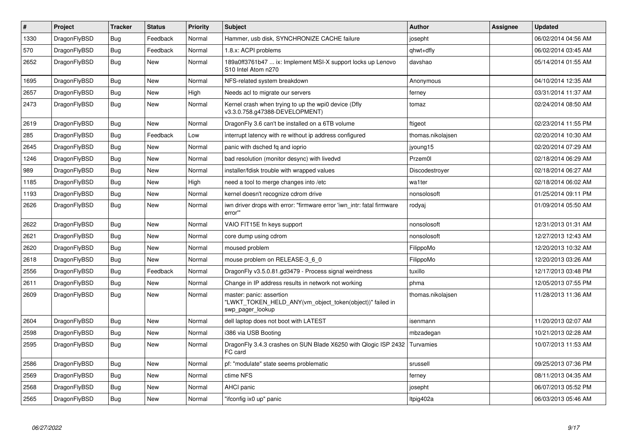| $\pmb{\#}$ | Project      | <b>Tracker</b> | <b>Status</b> | <b>Priority</b> | <b>Subject</b>                                                                                           | <b>Author</b>     | Assignee | Updated             |
|------------|--------------|----------------|---------------|-----------------|----------------------------------------------------------------------------------------------------------|-------------------|----------|---------------------|
| 1330       | DragonFlyBSD | <b>Bug</b>     | Feedback      | Normal          | Hammer, usb disk, SYNCHRONIZE CACHE failure                                                              | josepht           |          | 06/02/2014 04:56 AM |
| 570        | DragonFlyBSD | Bug            | Feedback      | Normal          | 1.8.x: ACPI problems                                                                                     | qhwt+dfly         |          | 06/02/2014 03:45 AM |
| 2652       | DragonFlyBSD | Bug            | New           | Normal          | 189a0ff3761b47  ix: Implement MSI-X support locks up Lenovo<br>S10 Intel Atom n270                       | davshao           |          | 05/14/2014 01:55 AM |
| 1695       | DragonFlyBSD | Bug            | New           | Normal          | NFS-related system breakdown                                                                             | Anonymous         |          | 04/10/2014 12:35 AM |
| 2657       | DragonFlyBSD | <b>Bug</b>     | New           | High            | Needs acl to migrate our servers                                                                         | ferney            |          | 03/31/2014 11:37 AM |
| 2473       | DragonFlyBSD | Bug            | <b>New</b>    | Normal          | Kernel crash when trying to up the wpi0 device (Dfly<br>v3.3.0.758.g47388-DEVELOPMENT)                   | tomaz             |          | 02/24/2014 08:50 AM |
| 2619       | DragonFlyBSD | Bug            | <b>New</b>    | Normal          | DragonFly 3.6 can't be installed on a 6TB volume                                                         | ftigeot           |          | 02/23/2014 11:55 PM |
| 285        | DragonFlyBSD | <b>Bug</b>     | Feedback      | Low             | interrupt latency with re without ip address configured                                                  | thomas.nikolajsen |          | 02/20/2014 10:30 AM |
| 2645       | DragonFlyBSD | Bug            | <b>New</b>    | Normal          | panic with dsched fq and ioprio                                                                          | jyoung15          |          | 02/20/2014 07:29 AM |
| 1246       | DragonFlyBSD | <b>Bug</b>     | <b>New</b>    | Normal          | bad resolution (monitor desync) with livedvd                                                             | Przem0l           |          | 02/18/2014 06:29 AM |
| 989        | DragonFlyBSD | <b>Bug</b>     | New           | Normal          | installer/fdisk trouble with wrapped values                                                              | Discodestroyer    |          | 02/18/2014 06:27 AM |
| 1185       | DragonFlyBSD | <b>Bug</b>     | <b>New</b>    | High            | need a tool to merge changes into /etc                                                                   | wa1ter            |          | 02/18/2014 06:02 AM |
| 1193       | DragonFlyBSD | Bug            | <b>New</b>    | Normal          | kernel doesn't recognize cdrom drive                                                                     | nonsolosoft       |          | 01/25/2014 09:11 PM |
| 2626       | DragonFlyBSD | <b>Bug</b>     | <b>New</b>    | Normal          | iwn driver drops with error: "firmware error 'iwn intr: fatal firmware<br>error"                         | rodyaj            |          | 01/09/2014 05:50 AM |
| 2622       | DragonFlyBSD | <b>Bug</b>     | <b>New</b>    | Normal          | VAIO FIT15E fn keys support                                                                              | nonsolosoft       |          | 12/31/2013 01:31 AM |
| 2621       | DragonFlyBSD | Bug            | <b>New</b>    | Normal          | core dump using cdrom                                                                                    | nonsolosoft       |          | 12/27/2013 12:43 AM |
| 2620       | DragonFlyBSD | Bug            | <b>New</b>    | Normal          | moused problem                                                                                           | FilippoMo         |          | 12/20/2013 10:32 AM |
| 2618       | DragonFlyBSD | <b>Bug</b>     | <b>New</b>    | Normal          | mouse problem on RELEASE-3 6 0                                                                           | FilippoMo         |          | 12/20/2013 03:26 AM |
| 2556       | DragonFlyBSD | Bug            | Feedback      | Normal          | DragonFly v3.5.0.81.gd3479 - Process signal weirdness                                                    | tuxillo           |          | 12/17/2013 03:48 PM |
| 2611       | DragonFlyBSD | Bug            | <b>New</b>    | Normal          | Change in IP address results in network not working                                                      | phma              |          | 12/05/2013 07:55 PM |
| 2609       | DragonFlyBSD | <b>Bug</b>     | <b>New</b>    | Normal          | master: panic: assertion<br>'LWKT TOKEN HELD ANY(vm object token(object))" failed in<br>swp_pager_lookup | thomas.nikolajsen |          | 11/28/2013 11:36 AM |
| 2604       | DragonFlyBSD | Bug            | <b>New</b>    | Normal          | dell laptop does not boot with LATEST                                                                    | isenmann          |          | 11/20/2013 02:07 AM |
| 2598       | DragonFlyBSD | <b>Bug</b>     | <b>New</b>    | Normal          | i386 via USB Booting                                                                                     | mbzadegan         |          | 10/21/2013 02:28 AM |
| 2595       | DragonFlyBSD | Bug            | New           | Normal          | DragonFly 3.4.3 crashes on SUN Blade X6250 with Qlogic ISP 2432<br>FC card                               | Turvamies         |          | 10/07/2013 11:53 AM |
| 2586       | DragonFlyBSD | Bug            | <b>New</b>    | Normal          | pf: "modulate" state seems problematic                                                                   | srussell          |          | 09/25/2013 07:36 PM |
| 2569       | DragonFlyBSD | Bug            | <b>New</b>    | Normal          | ctime NFS                                                                                                | ferney            |          | 08/11/2013 04:35 AM |
| 2568       | DragonFlyBSD | Bug            | New           | Normal          | <b>AHCI</b> panic                                                                                        | josepht           |          | 06/07/2013 05:52 PM |
| 2565       | DragonFlyBSD | Bug            | <b>New</b>    | Normal          | "ifconfig ix0 up" panic                                                                                  | Itpig402a         |          | 06/03/2013 05:46 AM |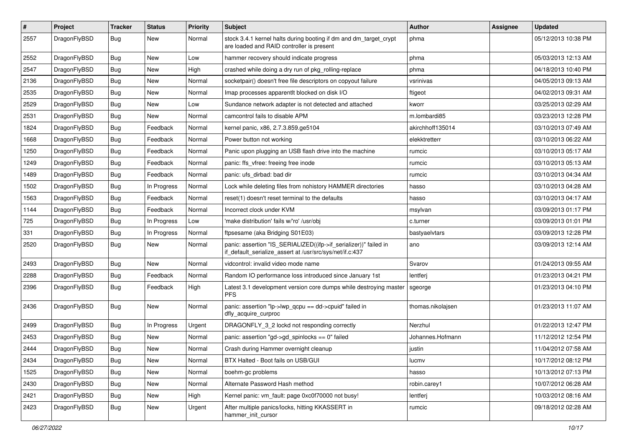| $\sharp$ | Project      | <b>Tracker</b> | <b>Status</b> | <b>Priority</b> | Subject                                                                                                                      | <b>Author</b>     | Assignee | <b>Updated</b>      |
|----------|--------------|----------------|---------------|-----------------|------------------------------------------------------------------------------------------------------------------------------|-------------------|----------|---------------------|
| 2557     | DragonFlyBSD | Bug            | New           | Normal          | stock 3.4.1 kernel halts during booting if dm and dm_target_crypt<br>are loaded and RAID controller is present               | phma              |          | 05/12/2013 10:38 PM |
| 2552     | DragonFlyBSD | <b>Bug</b>     | New           | Low             | hammer recovery should indicate progress                                                                                     | phma              |          | 05/03/2013 12:13 AM |
| 2547     | DragonFlyBSD | <b>Bug</b>     | New           | High            | crashed while doing a dry run of pkg rolling-replace                                                                         | phma              |          | 04/18/2013 10:40 PM |
| 2136     | DragonFlyBSD | Bug            | New           | Normal          | socketpair() doesn't free file descriptors on copyout failure                                                                | vsrinivas         |          | 04/05/2013 09:13 AM |
| 2535     | DragonFlyBSD | <b>Bug</b>     | New           | Normal          | Imap processes apparentlt blocked on disk I/O                                                                                | ftigeot           |          | 04/02/2013 09:31 AM |
| 2529     | DragonFlyBSD | <b>Bug</b>     | New           | Low             | Sundance network adapter is not detected and attached                                                                        | kworr             |          | 03/25/2013 02:29 AM |
| 2531     | DragonFlyBSD | <b>Bug</b>     | New           | Normal          | camcontrol fails to disable APM                                                                                              | m.lombardi85      |          | 03/23/2013 12:28 PM |
| 1824     | DragonFlyBSD | <b>Bug</b>     | Feedback      | Normal          | kernel panic, x86, 2.7.3.859.ge5104                                                                                          | akirchhoff135014  |          | 03/10/2013 07:49 AM |
| 1668     | DragonFlyBSD | <b>Bug</b>     | Feedback      | Normal          | Power button not working                                                                                                     | elekktretterr     |          | 03/10/2013 06:22 AM |
| 1250     | DragonFlyBSD | <b>Bug</b>     | Feedback      | Normal          | Panic upon plugging an USB flash drive into the machine                                                                      | rumcic            |          | 03/10/2013 05:17 AM |
| 1249     | DragonFlyBSD | <b>Bug</b>     | Feedback      | Normal          | panic: ffs vfree: freeing free inode                                                                                         | rumcic            |          | 03/10/2013 05:13 AM |
| 1489     | DragonFlyBSD | <b>Bug</b>     | Feedback      | Normal          | panic: ufs dirbad: bad dir                                                                                                   | rumcic            |          | 03/10/2013 04:34 AM |
| 1502     | DragonFlyBSD | <b>Bug</b>     | In Progress   | Normal          | Lock while deleting files from nohistory HAMMER directories                                                                  | hasso             |          | 03/10/2013 04:28 AM |
| 1563     | DragonFlyBSD | <b>Bug</b>     | Feedback      | Normal          | reset(1) doesn't reset terminal to the defaults                                                                              | hasso             |          | 03/10/2013 04:17 AM |
| 1144     | DragonFlyBSD | <b>Bug</b>     | Feedback      | Normal          | Incorrect clock under KVM                                                                                                    | msylvan           |          | 03/09/2013 01:17 PM |
| 725      | DragonFlyBSD | <b>Bug</b>     | In Progress   | Low             | 'make distribution' fails w/'ro' /usr/obj                                                                                    | c.turner          |          | 03/09/2013 01:01 PM |
| 331      | DragonFlyBSD | <b>Bug</b>     | In Progress   | Normal          | ftpsesame (aka Bridging S01E03)                                                                                              | bastyaelvtars     |          | 03/09/2013 12:28 PM |
| 2520     | DragonFlyBSD | <b>Bug</b>     | <b>New</b>    | Normal          | panic: assertion "IS_SERIALIZED((ifp->if_serializer))" failed in<br>if_default_serialize_assert at /usr/src/sys/net/if.c:437 | ano               |          | 03/09/2013 12:14 AM |
| 2493     | DragonFlyBSD | <b>Bug</b>     | New           | Normal          | vidcontrol: invalid video mode name                                                                                          | Svarov            |          | 01/24/2013 09:55 AM |
| 2288     | DragonFlyBSD | <b>Bug</b>     | Feedback      | Normal          | Random IO performance loss introduced since January 1st                                                                      | lentferj          |          | 01/23/2013 04:21 PM |
| 2396     | DragonFlyBSD | Bug            | Feedback      | High            | Latest 3.1 development version core dumps while destroying master<br><b>PFS</b>                                              | sgeorge           |          | 01/23/2013 04:10 PM |
| 2436     | DragonFlyBSD | Bug            | New           | Normal          | panic: assertion "lp->lwp_qcpu == dd->cpuid" failed in<br>dfly_acquire_curproc                                               | thomas.nikolajsen |          | 01/23/2013 11:07 AM |
| 2499     | DragonFlyBSD | Bug            | In Progress   | Urgent          | DRAGONFLY 3 2 lockd not responding correctly                                                                                 | Nerzhul           |          | 01/22/2013 12:47 PM |
| 2453     | DragonFlyBSD | <b>Bug</b>     | <b>New</b>    | Normal          | panic: assertion "gd->gd_spinlocks == 0" failed                                                                              | Johannes.Hofmann  |          | 11/12/2012 12:54 PM |
| 2444     | DragonFlyBSD | <b>Bug</b>     | New           | Normal          | Crash during Hammer overnight cleanup                                                                                        | justin            |          | 11/04/2012 07:58 AM |
| 2434     | DragonFlyBSD | <b>Bug</b>     | New           | Normal          | BTX Halted - Boot fails on USB/GUI                                                                                           | lucmv             |          | 10/17/2012 08:12 PM |
| 1525     | DragonFlyBSD | <b>Bug</b>     | <b>New</b>    | Normal          | boehm-gc problems                                                                                                            | hasso             |          | 10/13/2012 07:13 PM |
| 2430     | DragonFlyBSD | <b>Bug</b>     | New           | Normal          | Alternate Password Hash method                                                                                               | robin.carey1      |          | 10/07/2012 06:28 AM |
| 2421     | DragonFlyBSD | <b>Bug</b>     | New           | High            | Kernel panic: vm_fault: page 0xc0f70000 not busy!                                                                            | lentferj          |          | 10/03/2012 08:16 AM |
| 2423     | DragonFlyBSD | <b>Bug</b>     | New           | Urgent          | After multiple panics/locks, hitting KKASSERT in<br>hammer_init_cursor                                                       | rumcic            |          | 09/18/2012 02:28 AM |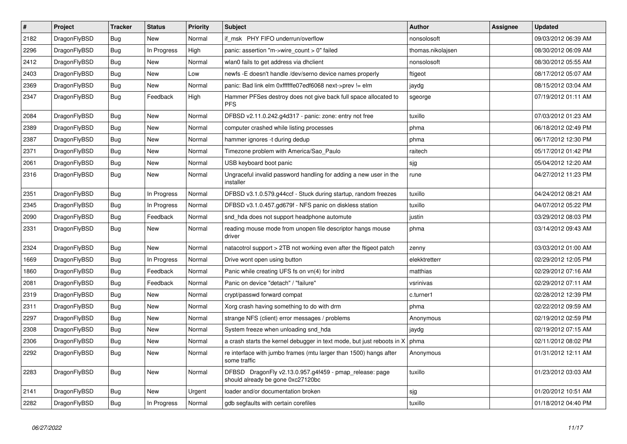| $\vert$ # | <b>Project</b> | <b>Tracker</b> | <b>Status</b> | <b>Priority</b> | <b>Subject</b>                                                                               | <b>Author</b>     | <b>Assignee</b> | <b>Updated</b>      |
|-----------|----------------|----------------|---------------|-----------------|----------------------------------------------------------------------------------------------|-------------------|-----------------|---------------------|
| 2182      | DragonFlyBSD   | Bug            | <b>New</b>    | Normal          | if msk PHY FIFO underrun/overflow                                                            | nonsolosoft       |                 | 09/03/2012 06:39 AM |
| 2296      | DragonFlyBSD   | <b>Bug</b>     | In Progress   | High            | panic: assertion "m->wire count > 0" failed                                                  | thomas.nikolajsen |                 | 08/30/2012 06:09 AM |
| 2412      | DragonFlyBSD   | <b>Bug</b>     | <b>New</b>    | Normal          | wlan0 fails to get address via dhclient                                                      | nonsolosoft       |                 | 08/30/2012 05:55 AM |
| 2403      | DragonFlyBSD   | Bug            | <b>New</b>    | Low             | newfs -E doesn't handle /dev/serno device names properly                                     | ftigeot           |                 | 08/17/2012 05:07 AM |
| 2369      | DragonFlyBSD   | Bug            | <b>New</b>    | Normal          | panic: Bad link elm 0xffffffe07edf6068 next->prev != elm                                     | jaydg             |                 | 08/15/2012 03:04 AM |
| 2347      | DragonFlyBSD   | <b>Bug</b>     | Feedback      | High            | Hammer PFSes destroy does not give back full space allocated to<br><b>PFS</b>                | sgeorge           |                 | 07/19/2012 01:11 AM |
| 2084      | DragonFlyBSD   | Bug            | <b>New</b>    | Normal          | DFBSD v2.11.0.242.g4d317 - panic: zone: entry not free                                       | tuxillo           |                 | 07/03/2012 01:23 AM |
| 2389      | DragonFlyBSD   | <b>Bug</b>     | <b>New</b>    | Normal          | computer crashed while listing processes                                                     | phma              |                 | 06/18/2012 02:49 PM |
| 2387      | DragonFlyBSD   | <b>Bug</b>     | New           | Normal          | hammer ignores -t during dedup                                                               | phma              |                 | 06/17/2012 12:30 PM |
| 2371      | DragonFlyBSD   | Bug            | <b>New</b>    | Normal          | Timezone problem with America/Sao_Paulo                                                      | raitech           |                 | 05/17/2012 01:42 PM |
| 2061      | DragonFlyBSD   | Bug            | <b>New</b>    | Normal          | USB keyboard boot panic                                                                      | sjg               |                 | 05/04/2012 12:20 AM |
| 2316      | DragonFlyBSD   | <b>Bug</b>     | New           | Normal          | Ungraceful invalid password handling for adding a new user in the<br>installer               | rune              |                 | 04/27/2012 11:23 PM |
| 2351      | DragonFlyBSD   | Bug            | In Progress   | Normal          | DFBSD v3.1.0.579.g44ccf - Stuck during startup, random freezes                               | tuxillo           |                 | 04/24/2012 08:21 AM |
| 2345      | DragonFlyBSD   | Bug            | In Progress   | Normal          | DFBSD v3.1.0.457.gd679f - NFS panic on diskless station                                      | tuxillo           |                 | 04/07/2012 05:22 PM |
| 2090      | DragonFlyBSD   | <b>Bug</b>     | Feedback      | Normal          | snd_hda does not support headphone automute                                                  | justin            |                 | 03/29/2012 08:03 PM |
| 2331      | DragonFlyBSD   | Bug            | New           | Normal          | reading mouse mode from unopen file descriptor hangs mouse<br>driver                         | phma              |                 | 03/14/2012 09:43 AM |
| 2324      | DragonFlyBSD   | <b>Bug</b>     | <b>New</b>    | Normal          | natacotrol support > 2TB not working even after the ftigeot patch                            | zenny             |                 | 03/03/2012 01:00 AM |
| 1669      | DragonFlyBSD   | Bug            | In Progress   | Normal          | Drive wont open using button                                                                 | elekktretterr     |                 | 02/29/2012 12:05 PM |
| 1860      | DragonFlyBSD   | <b>Bug</b>     | Feedback      | Normal          | Panic while creating UFS fs on vn(4) for initrd                                              | matthias          |                 | 02/29/2012 07:16 AM |
| 2081      | DragonFlyBSD   | <b>Bug</b>     | Feedback      | Normal          | Panic on device "detach" / "failure"                                                         | vsrinivas         |                 | 02/29/2012 07:11 AM |
| 2319      | DragonFlyBSD   | <b>Bug</b>     | <b>New</b>    | Normal          | crypt/passwd forward compat                                                                  | c.turner1         |                 | 02/28/2012 12:39 PM |
| 2311      | DragonFlyBSD   | Bug            | <b>New</b>    | Normal          | Xorg crash having something to do with drm                                                   | phma              |                 | 02/22/2012 09:59 AM |
| 2297      | DragonFlyBSD   | <b>Bug</b>     | New           | Normal          | strange NFS (client) error messages / problems                                               | Anonymous         |                 | 02/19/2012 02:59 PM |
| 2308      | DragonFlyBSD   | Bug            | <b>New</b>    | Normal          | System freeze when unloading snd_hda                                                         | jaydg             |                 | 02/19/2012 07:15 AM |
| 2306      | DragonFlyBSD   | <b>Bug</b>     | <b>New</b>    | Normal          | a crash starts the kernel debugger in text mode, but just reboots in X                       | phma              |                 | 02/11/2012 08:02 PM |
| 2292      | DragonFlyBSD   | Bug            | <b>New</b>    | Normal          | re interface with jumbo frames (mtu larger than 1500) hangs after<br>some traffic            | Anonymous         |                 | 01/31/2012 12:11 AM |
| 2283      | DragonFlyBSD   | <b>Bug</b>     | <b>New</b>    | Normal          | DFBSD DragonFly v2.13.0.957.g4f459 - pmap_release: page<br>should already be gone 0xc27120bc | tuxillo           |                 | 01/23/2012 03:03 AM |
| 2141      | DragonFlyBSD   | Bug            | <b>New</b>    | Urgent          | loader and/or documentation broken                                                           | sjg               |                 | 01/20/2012 10:51 AM |
| 2282      | DragonFlyBSD   | Bug            | In Progress   | Normal          | gdb segfaults with certain corefiles                                                         | tuxillo           |                 | 01/18/2012 04:40 PM |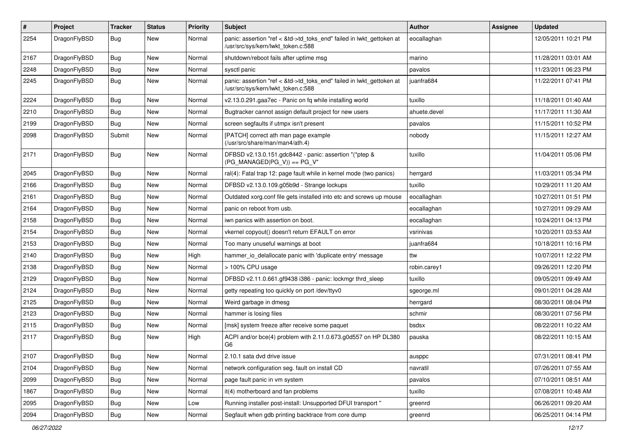| $\pmb{\#}$ | Project      | <b>Tracker</b> | <b>Status</b> | <b>Priority</b> | Subject                                                                                                    | <b>Author</b> | Assignee | <b>Updated</b>      |
|------------|--------------|----------------|---------------|-----------------|------------------------------------------------------------------------------------------------------------|---------------|----------|---------------------|
| 2254       | DragonFlyBSD | Bug            | New           | Normal          | panic: assertion "ref < &td->td_toks_end" failed in lwkt_gettoken at<br>/usr/src/sys/kern/lwkt_token.c:588 | eocallaghan   |          | 12/05/2011 10:21 PM |
| 2167       | DragonFlyBSD | <b>Bug</b>     | New           | Normal          | shutdown/reboot fails after uptime msg                                                                     | marino        |          | 11/28/2011 03:01 AM |
| 2248       | DragonFlyBSD | Bug            | <b>New</b>    | Normal          | sysctl panic                                                                                               | pavalos       |          | 11/23/2011 06:23 PM |
| 2245       | DragonFlyBSD | <b>Bug</b>     | New           | Normal          | panic: assertion "ref < &td->td_toks_end" failed in lwkt_gettoken at<br>/usr/src/sys/kern/lwkt_token.c:588 | juanfra684    |          | 11/22/2011 07:41 PM |
| 2224       | DragonFlyBSD | Bug            | <b>New</b>    | Normal          | v2.13.0.291.gaa7ec - Panic on fq while installing world                                                    | tuxillo       |          | 11/18/2011 01:40 AM |
| 2210       | DragonFlyBSD | Bug            | New           | Normal          | Bugtracker cannot assign default project for new users                                                     | ahuete.devel  |          | 11/17/2011 11:30 AM |
| 2199       | DragonFlyBSD | Bug            | <b>New</b>    | Normal          | screen segfaults if utmpx isn't present                                                                    | pavalos       |          | 11/15/2011 10:52 PM |
| 2098       | DragonFlyBSD | Submit         | New           | Normal          | [PATCH] correct ath man page example<br>(/usr/src/share/man/man4/ath.4)                                    | nobody        |          | 11/15/2011 12:27 AM |
| 2171       | DragonFlyBSD | Bug            | New           | Normal          | DFBSD v2.13.0.151.gdc8442 - panic: assertion "(*ptep &<br>$(PG_MANAGED PG_V)$ == PG_V"                     | tuxillo       |          | 11/04/2011 05:06 PM |
| 2045       | DragonFlyBSD | <b>Bug</b>     | New           | Normal          | ral(4): Fatal trap 12: page fault while in kernel mode (two panics)                                        | herrgard      |          | 11/03/2011 05:34 PM |
| 2166       | DragonFlyBSD | Bug            | New           | Normal          | DFBSD v2.13.0.109.g05b9d - Strange lockups                                                                 | tuxillo       |          | 10/29/2011 11:20 AM |
| 2161       | DragonFlyBSD | Bug            | New           | Normal          | Outdated xorg.conf file gets installed into etc and screws up mouse                                        | eocallaghan   |          | 10/27/2011 01:51 PM |
| 2164       | DragonFlyBSD | Bug            | <b>New</b>    | Normal          | panic on reboot from usb.                                                                                  | eocallaghan   |          | 10/27/2011 09:29 AM |
| 2158       | DragonFlyBSD | Bug            | <b>New</b>    | Normal          | iwn panics with assertion on boot.                                                                         | eocallaghan   |          | 10/24/2011 04:13 PM |
| 2154       | DragonFlyBSD | Bug            | New           | Normal          | vkernel copyout() doesn't return EFAULT on error                                                           | vsrinivas     |          | 10/20/2011 03:53 AM |
| 2153       | DragonFlyBSD | Bug            | New           | Normal          | Too many unuseful warnings at boot                                                                         | juanfra684    |          | 10/18/2011 10:16 PM |
| 2140       | DragonFlyBSD | Bug            | New           | High            | hammer io delallocate panic with 'duplicate entry' message                                                 | ttw           |          | 10/07/2011 12:22 PM |
| 2138       | DragonFlyBSD | Bug            | <b>New</b>    | Normal          | > 100% CPU usage                                                                                           | robin.carey1  |          | 09/26/2011 12:20 PM |
| 2129       | DragonFlyBSD | Bug            | New           | Normal          | DFBSD v2.11.0.661.gf9438 i386 - panic: lockmgr thrd_sleep                                                  | tuxillo       |          | 09/05/2011 09:49 AM |
| 2124       | DragonFlyBSD | Bug            | <b>New</b>    | Normal          | getty repeating too quickly on port /dev/ttyv0                                                             | sgeorge.ml    |          | 09/01/2011 04:28 AM |
| 2125       | DragonFlyBSD | Bug            | New           | Normal          | Weird garbage in dmesg                                                                                     | herrgard      |          | 08/30/2011 08:04 PM |
| 2123       | DragonFlyBSD | <b>Bug</b>     | <b>New</b>    | Normal          | hammer is losing files                                                                                     | schmir        |          | 08/30/2011 07:56 PM |
| 2115       | DragonFlyBSD | Bug            | New           | Normal          | [msk] system freeze after receive some paquet                                                              | bsdsx         |          | 08/22/2011 10:22 AM |
| 2117       | DragonFlyBSD | Bug            | New           | High            | ACPI and/or bce(4) problem with 2.11.0.673.g0d557 on HP DL380<br>G <sub>6</sub>                            | pauska        |          | 08/22/2011 10:15 AM |
| 2107       | DragonFlyBSD | Bug            | New           | Normal          | 2.10.1 sata dvd drive issue                                                                                | ausppc        |          | 07/31/2011 08:41 PM |
| 2104       | DragonFlyBSD | Bug            | New           | Normal          | network configuration seg. fault on install CD                                                             | navratil      |          | 07/26/2011 07:55 AM |
| 2099       | DragonFlyBSD | <b>Bug</b>     | New           | Normal          | page fault panic in vm system                                                                              | pavalos       |          | 07/10/2011 08:51 AM |
| 1867       | DragonFlyBSD | Bug            | New           | Normal          | it(4) motherboard and fan problems                                                                         | tuxillo       |          | 07/08/2011 10:48 AM |
| 2095       | DragonFlyBSD | <b>Bug</b>     | New           | Low             | Running installer post-install: Unsupported DFUI transport "                                               | greenrd       |          | 06/26/2011 09:20 AM |
| 2094       | DragonFlyBSD | Bug            | New           | Normal          | Segfault when gdb printing backtrace from core dump                                                        | greenrd       |          | 06/25/2011 04:14 PM |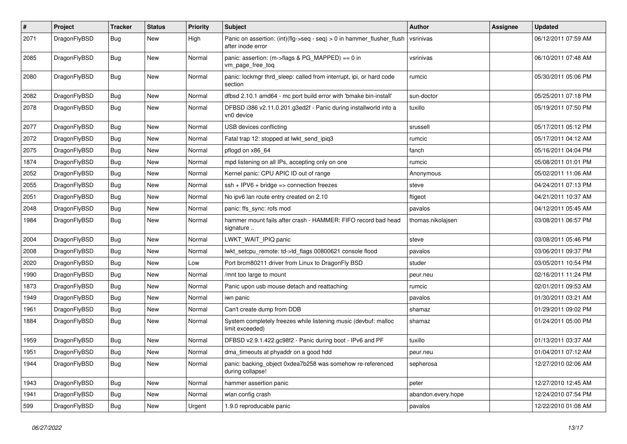| $\sharp$ | Project      | <b>Tracker</b> | <b>Status</b> | <b>Priority</b> | Subject                                                                                       | <b>Author</b>      | Assignee | <b>Updated</b>      |
|----------|--------------|----------------|---------------|-----------------|-----------------------------------------------------------------------------------------------|--------------------|----------|---------------------|
| 2071     | DragonFlyBSD | <b>Bug</b>     | New           | High            | Panic on assertion: $(int)(flag->seq - seq) > 0$ in hammer flusher flush<br>after inode error | vsrinivas          |          | 06/12/2011 07:59 AM |
| 2085     | DragonFlyBSD | Bug            | New           | Normal          | panic: assertion: (m->flags & PG_MAPPED) == 0 in<br>vm_page_free_toq                          | vsrinivas          |          | 06/10/2011 07:48 AM |
| 2080     | DragonFlyBSD | Bug            | <b>New</b>    | Normal          | panic: lockmgr thrd sleep: called from interrupt, ipi, or hard code<br>section                | rumcic             |          | 05/30/2011 05:06 PM |
| 2082     | DragonFlyBSD | Bug            | <b>New</b>    | Normal          | dfbsd 2.10.1 amd64 - mc port build error with 'bmake bin-install'                             | sun-doctor         |          | 05/25/2011 07:18 PM |
| 2078     | DragonFlyBSD | Bug            | <b>New</b>    | Normal          | DFBSD i386 v2.11.0.201.g3ed2f - Panic during installworld into a<br>vn0 device                | tuxillo            |          | 05/19/2011 07:50 PM |
| 2077     | DragonFlyBSD | Bug            | New           | Normal          | USB devices conflicting                                                                       | srussell           |          | 05/17/2011 05:12 PM |
| 2072     | DragonFlyBSD | <b>Bug</b>     | New           | Normal          | Fatal trap 12: stopped at lwkt_send_ipiq3                                                     | rumcic             |          | 05/17/2011 04:12 AM |
| 2075     | DragonFlyBSD | <b>Bug</b>     | New           | Normal          | pflogd on x86_64                                                                              | fanch              |          | 05/16/2011 04:04 PM |
| 1874     | DragonFlyBSD | <b>Bug</b>     | New           | Normal          | mpd listening on all IPs, accepting only on one                                               | rumcic             |          | 05/08/2011 01:01 PM |
| 2052     | DragonFlyBSD | <b>Bug</b>     | <b>New</b>    | Normal          | Kernel panic: CPU APIC ID out of range                                                        | Anonymous          |          | 05/02/2011 11:06 AM |
| 2055     | DragonFlyBSD | Bug            | <b>New</b>    | Normal          | $ssh + IPV6 + bridge \Rightarrow$ connection freezes                                          | steve              |          | 04/24/2011 07:13 PM |
| 2051     | DragonFlyBSD | <b>Bug</b>     | New           | Normal          | No ipv6 lan route entry created on 2.10                                                       | ftigeot            |          | 04/21/2011 10:37 AM |
| 2048     | DragonFlyBSD | <b>Bug</b>     | New           | Normal          | panic: ffs_sync: rofs mod                                                                     | pavalos            |          | 04/12/2011 05:45 AM |
| 1984     | DragonFlyBSD | Bug            | <b>New</b>    | Normal          | hammer mount fails after crash - HAMMER: FIFO record bad head<br>signature                    | thomas.nikolaisen  |          | 03/08/2011 06:57 PM |
| 2004     | DragonFlyBSD | Bug            | <b>New</b>    | Normal          | LWKT_WAIT_IPIQ panic                                                                          | steve              |          | 03/08/2011 05:46 PM |
| 2008     | DragonFlyBSD | <b>Bug</b>     | New           | Normal          | lwkt_setcpu_remote: td->td_flags 00800621 console flood                                       | pavalos            |          | 03/06/2011 09:37 PM |
| 2020     | DragonFlyBSD | <b>Bug</b>     | New           | Low             | Port brcm80211 driver from Linux to DragonFly BSD                                             | studer             |          | 03/05/2011 10:54 PM |
| 1990     | DragonFlyBSD | Bug            | <b>New</b>    | Normal          | /mnt too large to mount                                                                       | peur.neu           |          | 02/16/2011 11:24 PM |
| 1873     | DragonFlyBSD | <b>Bug</b>     | <b>New</b>    | Normal          | Panic upon usb mouse detach and reattaching                                                   | rumcic             |          | 02/01/2011 09:53 AM |
| 1949     | DragonFlyBSD | <b>Bug</b>     | New           | Normal          | iwn panic                                                                                     | pavalos            |          | 01/30/2011 03:21 AM |
| 1961     | DragonFlyBSD | <b>Bug</b>     | <b>New</b>    | Normal          | Can't create dump from DDB                                                                    | shamaz             |          | 01/29/2011 09:02 PM |
| 1884     | DragonFlyBSD | <b>Bug</b>     | New           | Normal          | System completely freezes while listening music (devbuf: malloc<br>limit exceeded)            | shamaz             |          | 01/24/2011 05:00 PM |
| 1959     | DragonFlyBSD | <b>Bug</b>     | New           | Normal          | DFBSD v2.9.1.422.gc98f2 - Panic during boot - IPv6 and PF                                     | tuxillo            |          | 01/13/2011 03:37 AM |
| 1951     | DragonFlyBSD | Bug            | <b>New</b>    | Normal          | dma timeouts at phyaddr on a good hdd                                                         | peur.neu           |          | 01/04/2011 07:12 AM |
| 1944     | DragonFlyBSD | Bug            | New           | Normal          | panic: backing_object 0xdea7b258 was somehow re-referenced<br>during collapse!                | sepherosa          |          | 12/27/2010 02:06 AM |
| 1943     | DragonFlyBSD | <b>Bug</b>     | <b>New</b>    | Normal          | hammer assertion panic                                                                        | peter              |          | 12/27/2010 12:45 AM |
| 1941     | DragonFlyBSD | <b>Bug</b>     | <b>New</b>    | Normal          | wlan config crash                                                                             | abandon.every.hope |          | 12/24/2010 07:54 PM |
| 599      | DragonFlyBSD | <b>Bug</b>     | New           | Urgent          | 1.9.0 reproducable panic                                                                      | pavalos            |          | 12/22/2010 01:08 AM |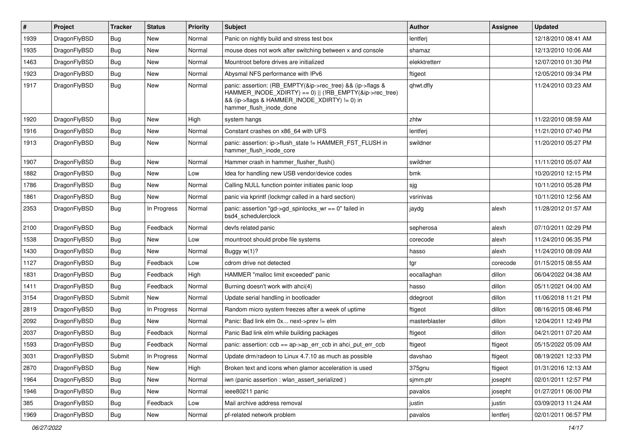| $\vert$ # | Project      | <b>Tracker</b> | <b>Status</b> | <b>Priority</b> | Subject                                                                                                                                                                                           | <b>Author</b> | <b>Assignee</b> | <b>Updated</b>      |
|-----------|--------------|----------------|---------------|-----------------|---------------------------------------------------------------------------------------------------------------------------------------------------------------------------------------------------|---------------|-----------------|---------------------|
| 1939      | DragonFlyBSD | <b>Bug</b>     | New           | Normal          | Panic on nightly build and stress test box                                                                                                                                                        | lentferj      |                 | 12/18/2010 08:41 AM |
| 1935      | DragonFlyBSD | Bug            | <b>New</b>    | Normal          | mouse does not work after switching between x and console                                                                                                                                         | shamaz        |                 | 12/13/2010 10:06 AM |
| 1463      | DragonFlyBSD | <b>Bug</b>     | New           | Normal          | Mountroot before drives are initialized                                                                                                                                                           | elekktretterr |                 | 12/07/2010 01:30 PM |
| 1923      | DragonFlyBSD | <b>Bug</b>     | New           | Normal          | Abysmal NFS performance with IPv6                                                                                                                                                                 | ftigeot       |                 | 12/05/2010 09:34 PM |
| 1917      | DragonFlyBSD | Bug            | <b>New</b>    | Normal          | panic: assertion: (RB_EMPTY(&ip->rec_tree) && (ip->flags &<br>HAMMER_INODE_XDIRTY) == 0)    (!RB_EMPTY(&ip->rec_tree)<br>&& (ip->flags & HAMMER_INODE_XDIRTY) != 0) in<br>hammer_flush_inode_done | qhwt.dfly     |                 | 11/24/2010 03:23 AM |
| 1920      | DragonFlyBSD | Bug            | <b>New</b>    | High            | system hangs                                                                                                                                                                                      | zhtw          |                 | 11/22/2010 08:59 AM |
| 1916      | DragonFlyBSD | <b>Bug</b>     | New           | Normal          | Constant crashes on x86_64 with UFS                                                                                                                                                               | lentferj      |                 | 11/21/2010 07:40 PM |
| 1913      | DragonFlyBSD | Bug            | New           | Normal          | panic: assertion: ip->flush_state != HAMMER_FST_FLUSH in<br>hammer_flush_inode_core                                                                                                               | swildner      |                 | 11/20/2010 05:27 PM |
| 1907      | DragonFlyBSD | Bug            | <b>New</b>    | Normal          | Hammer crash in hammer_flusher_flush()                                                                                                                                                            | swildner      |                 | 11/11/2010 05:07 AM |
| 1882      | DragonFlyBSD | Bug            | <b>New</b>    | Low             | Idea for handling new USB vendor/device codes                                                                                                                                                     | bmk           |                 | 10/20/2010 12:15 PM |
| 1786      | DragonFlyBSD | Bug            | New           | Normal          | Calling NULL function pointer initiates panic loop                                                                                                                                                | sjg           |                 | 10/11/2010 05:28 PM |
| 1861      | DragonFlyBSD | Bug            | New           | Normal          | panic via kprintf (lockmgr called in a hard section)                                                                                                                                              | vsrinivas     |                 | 10/11/2010 12:56 AM |
| 2353      | DragonFlyBSD | Bug            | In Progress   | Normal          | panic: assertion "gd->gd spinlocks $wr == 0$ " failed in<br>bsd4_schedulerclock                                                                                                                   | jaydg         | alexh           | 11/28/2012 01:57 AM |
| 2100      | DragonFlyBSD | Bug            | Feedback      | Normal          | devfs related panic                                                                                                                                                                               | sepherosa     | alexh           | 07/10/2011 02:29 PM |
| 1538      | DragonFlyBSD | Bug            | New           | Low             | mountroot should probe file systems                                                                                                                                                               | corecode      | alexh           | 11/24/2010 06:35 PM |
| 1430      | DragonFlyBSD | Bug            | New           | Normal          | Buggy $w(1)$ ?                                                                                                                                                                                    | hasso         | alexh           | 11/24/2010 08:09 AM |
| 1127      | DragonFlyBSD | Bug            | Feedback      | Low             | cdrom drive not detected                                                                                                                                                                          | tgr           | corecode        | 01/15/2015 08:55 AM |
| 1831      | DragonFlyBSD | Bug            | Feedback      | High            | HAMMER "malloc limit exceeded" panic                                                                                                                                                              | eocallaghan   | dillon          | 06/04/2022 04:38 AM |
| 1411      | DragonFlyBSD | Bug            | Feedback      | Normal          | Burning doesn't work with ahci(4)                                                                                                                                                                 | hasso         | dillon          | 05/11/2021 04:00 AM |
| 3154      | DragonFlyBSD | Submit         | New           | Normal          | Update serial handling in bootloader                                                                                                                                                              | ddegroot      | dillon          | 11/06/2018 11:21 PM |
| 2819      | DragonFlyBSD | Bug            | In Progress   | Normal          | Random micro system freezes after a week of uptime                                                                                                                                                | ftigeot       | dillon          | 08/16/2015 08:46 PM |
| 2092      | DragonFlyBSD | Bug            | New           | Normal          | Panic: Bad link elm 0x next->prev != elm                                                                                                                                                          | masterblaster | dillon          | 12/04/2011 12:49 PM |
| 2037      | DragonFlyBSD | <b>Bug</b>     | Feedback      | Normal          | Panic Bad link elm while building packages                                                                                                                                                        | ftigeot       | dillon          | 04/21/2011 07:20 AM |
| 1593      | DragonFlyBSD | <b>Bug</b>     | Feedback      | Normal          | panic: assertion: ccb == ap->ap_err_ccb in ahci_put_err_ccb                                                                                                                                       | ftigeot       | ftigeot         | 05/15/2022 05:09 AM |
| 3031      | DragonFlyBSD | Submit         | In Progress   | Normal          | Update drm/radeon to Linux 4.7.10 as much as possible                                                                                                                                             | davshao       | ftigeot         | 08/19/2021 12:33 PM |
| 2870      | DragonFlyBSD | <b>Bug</b>     | New           | High            | Broken text and icons when glamor acceleration is used                                                                                                                                            | 375gnu        | ftigeot         | 01/31/2016 12:13 AM |
| 1964      | DragonFlyBSD | <b>Bug</b>     | New           | Normal          | iwn (panic assertion : wlan_assert_serialized)                                                                                                                                                    | sjmm.ptr      | josepht         | 02/01/2011 12:57 PM |
| 1946      | DragonFlyBSD | Bug            | New           | Normal          | ieee80211 panic                                                                                                                                                                                   | pavalos       | josepht         | 01/27/2011 06:00 PM |
| 385       | DragonFlyBSD | <b>Bug</b>     | Feedback      | Low             | Mail archive address removal                                                                                                                                                                      | justin        | justin          | 03/09/2013 11:24 AM |
| 1969      | DragonFlyBSD | Bug            | New           | Normal          | pf-related network problem                                                                                                                                                                        | pavalos       | lentferj        | 02/01/2011 06:57 PM |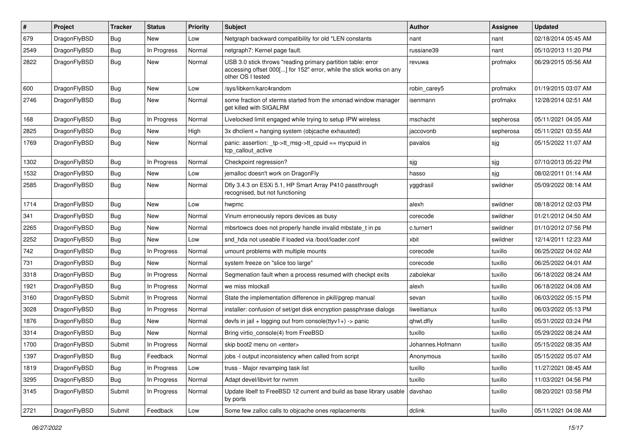| #    | Project      | <b>Tracker</b> | <b>Status</b> | <b>Priority</b> | Subject                                                                                                                                                  | <b>Author</b>    | Assignee  | <b>Updated</b>      |
|------|--------------|----------------|---------------|-----------------|----------------------------------------------------------------------------------------------------------------------------------------------------------|------------------|-----------|---------------------|
| 679  | DragonFlyBSD | <b>Bug</b>     | <b>New</b>    | Low             | Netgraph backward compatibility for old *LEN constants                                                                                                   | nant             | nant      | 02/18/2014 05:45 AM |
| 2549 | DragonFlyBSD | Bug            | In Progress   | Normal          | netgraph7: Kernel page fault.                                                                                                                            | russiane39       | nant      | 05/10/2013 11:20 PM |
| 2822 | DragonFlyBSD | Bug            | New           | Normal          | USB 3.0 stick throws "reading primary partition table: error<br>accessing offset 000[] for 152" error, while the stick works on any<br>other OS I tested | revuwa           | profmakx  | 06/29/2015 05:56 AM |
| 600  | DragonFlyBSD | Bug            | New           | Low             | /sys/libkern/karc4random                                                                                                                                 | robin carey5     | profmakx  | 01/19/2015 03:07 AM |
| 2746 | DragonFlyBSD | <b>Bug</b>     | New           | Normal          | some fraction of xterms started from the xmonad window manager<br>get killed with SIGALRM                                                                | isenmann         | profmakx  | 12/28/2014 02:51 AM |
| 168  | DragonFlyBSD | Bug            | In Progress   | Normal          | Livelocked limit engaged while trying to setup IPW wireless                                                                                              | mschacht         | sepherosa | 05/11/2021 04:05 AM |
| 2825 | DragonFlyBSD | Bug            | New           | High            | 3x dhclient = hanging system (objcache exhausted)                                                                                                        | jaccovonb        | sepherosa | 05/11/2021 03:55 AM |
| 1769 | DragonFlyBSD | <b>Bug</b>     | New           | Normal          | panic: assertion: _tp->tt_msg->tt_cpuid == mycpuid in<br>tcp callout active                                                                              | pavalos          | sjg       | 05/15/2022 11:07 AM |
| 1302 | DragonFlyBSD | Bug            | In Progress   | Normal          | Checkpoint regression?                                                                                                                                   | sjg              | sjg       | 07/10/2013 05:22 PM |
| 1532 | DragonFlyBSD | <b>Bug</b>     | New           | Low             | jemalloc doesn't work on DragonFly                                                                                                                       | hasso            | sjg       | 08/02/2011 01:14 AM |
| 2585 | DragonFlyBSD | <b>Bug</b>     | New           | Normal          | Dfly 3.4.3 on ESXi 5.1, HP Smart Array P410 passthrough<br>recognised, but not functioning                                                               | yggdrasil        | swildner  | 05/09/2022 08:14 AM |
| 1714 | DragonFlyBSD | Bug            | <b>New</b>    | Low             | hwpmc                                                                                                                                                    | alexh            | swildner  | 08/18/2012 02:03 PM |
| 341  | DragonFlyBSD | <b>Bug</b>     | New           | Normal          | Vinum erroneously repors devices as busy                                                                                                                 | corecode         | swildner  | 01/21/2012 04:50 AM |
| 2265 | DragonFlyBSD | <b>Bug</b>     | <b>New</b>    | Normal          | mbsrtowcs does not properly handle invalid mbstate t in ps                                                                                               | c.turner1        | swildner  | 01/10/2012 07:56 PM |
| 2252 | DragonFlyBSD | Bug            | New           | Low             | snd hda not useable if loaded via /boot/loader.conf                                                                                                      | xbit             | swildner  | 12/14/2011 12:23 AM |
| 742  | DragonFlyBSD | Bug            | In Progress   | Normal          | umount problems with multiple mounts                                                                                                                     | corecode         | tuxillo   | 06/25/2022 04:02 AM |
| 731  | DragonFlyBSD | Bug            | New           | Normal          | system freeze on "slice too large"                                                                                                                       | corecode         | tuxillo   | 06/25/2022 04:01 AM |
| 3318 | DragonFlyBSD | Bug            | In Progress   | Normal          | Segmenation fault when a process resumed with checkpt exits                                                                                              | zabolekar        | tuxillo   | 06/18/2022 08:24 AM |
| 1921 | DragonFlyBSD | Bug            | In Progress   | Normal          | we miss mlockall                                                                                                                                         | alexh            | tuxillo   | 06/18/2022 04:08 AM |
| 3160 | DragonFlyBSD | Submit         | In Progress   | Normal          | State the implementation difference in pkill/pgrep manual                                                                                                | sevan            | tuxillo   | 06/03/2022 05:15 PM |
| 3028 | DragonFlyBSD | Bug            | In Progress   | Normal          | installer: confusion of set/get disk encryption passphrase dialogs                                                                                       | liweitianux      | tuxillo   | 06/03/2022 05:13 PM |
| 1876 | DragonFlyBSD | Bug            | New           | Normal          | devfs in jail + logging out from console(ttyv1+) -> panic                                                                                                | qhwt.dfly        | tuxillo   | 05/31/2022 03:24 PM |
| 3314 | DragonFlyBSD | Bug            | New           | Normal          | Bring virtio console(4) from FreeBSD                                                                                                                     | tuxillo          | tuxillo   | 05/29/2022 08:24 AM |
| 1700 | DragonFlyBSD | Submit         | In Progress   | Normal          | skip boot2 menu on <enter></enter>                                                                                                                       | Johannes.Hofmann | tuxillo   | 05/15/2022 08:35 AM |
| 1397 | DragonFlyBSD | <b>Bug</b>     | Feedback      | Normal          | jobs -I output inconsistency when called from script                                                                                                     | Anonymous        | tuxillo   | 05/15/2022 05:07 AM |
| 1819 | DragonFlyBSD | <b>Bug</b>     | In Progress   | Low             | truss - Major revamping task list                                                                                                                        | tuxillo          | tuxillo   | 11/27/2021 08:45 AM |
| 3295 | DragonFlyBSD | <b>Bug</b>     | In Progress   | Normal          | Adapt devel/libvirt for nvmm                                                                                                                             | tuxillo          | tuxillo   | 11/03/2021 04:56 PM |
| 3145 | DragonFlyBSD | Submit         | In Progress   | Normal          | Update libelf to FreeBSD 12 current and build as base library usable<br>by ports                                                                         | davshao          | tuxillo   | 08/20/2021 03:58 PM |
| 2721 | DragonFlyBSD | Submit         | Feedback      | Low             | Some few zalloc calls to objcache ones replacements                                                                                                      | dclink           | tuxillo   | 05/11/2021 04:08 AM |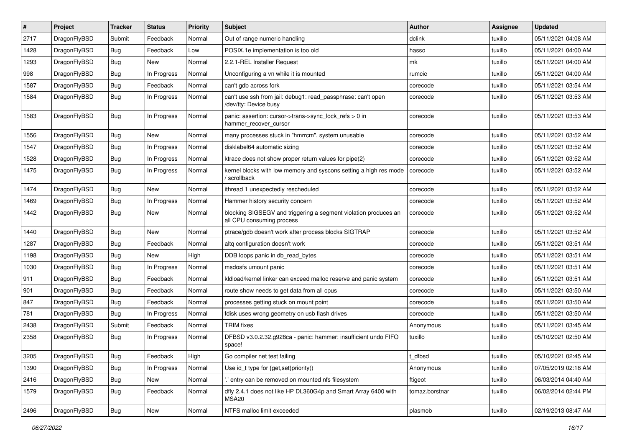| $\#$ | Project      | <b>Tracker</b> | <b>Status</b> | <b>Priority</b> | Subject                                                                                      | <b>Author</b>  | <b>Assignee</b> | <b>Updated</b>      |
|------|--------------|----------------|---------------|-----------------|----------------------------------------------------------------------------------------------|----------------|-----------------|---------------------|
| 2717 | DragonFlyBSD | Submit         | Feedback      | Normal          | Out of range numeric handling                                                                | dclink         | tuxillo         | 05/11/2021 04:08 AM |
| 1428 | DragonFlyBSD | Bug            | Feedback      | Low             | POSIX.1e implementation is too old                                                           | hasso          | tuxillo         | 05/11/2021 04:00 AM |
| 1293 | DragonFlyBSD | <b>Bug</b>     | New           | Normal          | 2.2.1-REL Installer Request                                                                  | mk             | tuxillo         | 05/11/2021 04:00 AM |
| 998  | DragonFlyBSD | Bug            | In Progress   | Normal          | Unconfiguring a vn while it is mounted                                                       | rumcic         | tuxillo         | 05/11/2021 04:00 AM |
| 1587 | DragonFlyBSD | <b>Bug</b>     | Feedback      | Normal          | can't gdb across fork                                                                        | corecode       | tuxillo         | 05/11/2021 03:54 AM |
| 1584 | DragonFlyBSD | <b>Bug</b>     | In Progress   | Normal          | can't use ssh from jail: debug1: read_passphrase: can't open<br>/dev/tty: Device busy        | corecode       | tuxillo         | 05/11/2021 03:53 AM |
| 1583 | DragonFlyBSD | Bug            | In Progress   | Normal          | panic: assertion: cursor->trans->sync_lock_refs > 0 in<br>hammer_recover_cursor              | corecode       | tuxillo         | 05/11/2021 03:53 AM |
| 1556 | DragonFlyBSD | Bug            | <b>New</b>    | Normal          | many processes stuck in "hmrrcm", system unusable                                            | corecode       | tuxillo         | 05/11/2021 03:52 AM |
| 1547 | DragonFlyBSD | Bug            | In Progress   | Normal          | disklabel64 automatic sizing                                                                 | corecode       | tuxillo         | 05/11/2021 03:52 AM |
| 1528 | DragonFlyBSD | <b>Bug</b>     | In Progress   | Normal          | ktrace does not show proper return values for pipe(2)                                        | corecode       | tuxillo         | 05/11/2021 03:52 AM |
| 1475 | DragonFlyBSD | Bug            | In Progress   | Normal          | kernel blocks with low memory and syscons setting a high res mode<br>/ scrollback            | corecode       | tuxillo         | 05/11/2021 03:52 AM |
| 1474 | DragonFlyBSD | <b>Bug</b>     | New           | Normal          | ithread 1 unexpectedly rescheduled                                                           | corecode       | tuxillo         | 05/11/2021 03:52 AM |
| 1469 | DragonFlyBSD | <b>Bug</b>     | In Progress   | Normal          | Hammer history security concern                                                              | corecode       | tuxillo         | 05/11/2021 03:52 AM |
| 1442 | DragonFlyBSD | <b>Bug</b>     | New           | Normal          | blocking SIGSEGV and triggering a segment violation produces an<br>all CPU consuming process | corecode       | tuxillo         | 05/11/2021 03:52 AM |
| 1440 | DragonFlyBSD | <b>Bug</b>     | New           | Normal          | ptrace/gdb doesn't work after process blocks SIGTRAP                                         | corecode       | tuxillo         | 05/11/2021 03:52 AM |
| 1287 | DragonFlyBSD | <b>Bug</b>     | Feedback      | Normal          | altq configuration doesn't work                                                              | corecode       | tuxillo         | 05/11/2021 03:51 AM |
| 1198 | DragonFlyBSD | Bug            | New           | High            | DDB loops panic in db_read_bytes                                                             | corecode       | tuxillo         | 05/11/2021 03:51 AM |
| 1030 | DragonFlyBSD | Bug            | In Progress   | Normal          | msdosfs umount panic                                                                         | corecode       | tuxillo         | 05/11/2021 03:51 AM |
| 911  | DragonFlyBSD | <b>Bug</b>     | Feedback      | Normal          | kldload/kernel linker can exceed malloc reserve and panic system                             | corecode       | tuxillo         | 05/11/2021 03:51 AM |
| 901  | DragonFlyBSD | Bug            | Feedback      | Normal          | route show needs to get data from all cpus                                                   | corecode       | tuxillo         | 05/11/2021 03:50 AM |
| 847  | DragonFlyBSD | <b>Bug</b>     | Feedback      | Normal          | processes getting stuck on mount point                                                       | corecode       | tuxillo         | 05/11/2021 03:50 AM |
| 781  | DragonFlyBSD | Bug            | In Progress   | Normal          | fdisk uses wrong geometry on usb flash drives                                                | corecode       | tuxillo         | 05/11/2021 03:50 AM |
| 2438 | DragonFlyBSD | Submit         | Feedback      | Normal          | <b>TRIM</b> fixes                                                                            | Anonymous      | tuxillo         | 05/11/2021 03:45 AM |
| 2358 | DragonFlyBSD | Bug            | In Progress   | Normal          | DFBSD v3.0.2.32.g928ca - panic: hammer: insufficient undo FIFO<br>space!                     | tuxillo        | tuxillo         | 05/10/2021 02:50 AM |
| 3205 | DragonFlyBSD | <b>Bug</b>     | Feedback      | High            | Go compiler net test failing                                                                 | t_dfbsd        | tuxillo         | 05/10/2021 02:45 AM |
| 1390 | DragonFlyBSD | Bug            | In Progress   | Normal          | Use id_t type for {get,set}priority()                                                        | Anonymous      | tuxillo         | 07/05/2019 02:18 AM |
| 2416 | DragonFlyBSD | <b>Bug</b>     | New           | Normal          | .' entry can be removed on mounted nfs filesystem                                            | ftigeot        | tuxillo         | 06/03/2014 04:40 AM |
| 1579 | DragonFlyBSD | <b>Bug</b>     | Feedback      | Normal          | dfly 2.4.1 does not like HP DL360G4p and Smart Array 6400 with<br>MSA20                      | tomaz.borstnar | tuxillo         | 06/02/2014 02:44 PM |
| 2496 | DragonFlyBSD | <b>Bug</b>     | New           | Normal          | NTFS malloc limit exceeded                                                                   | plasmob        | tuxillo         | 02/19/2013 08:47 AM |